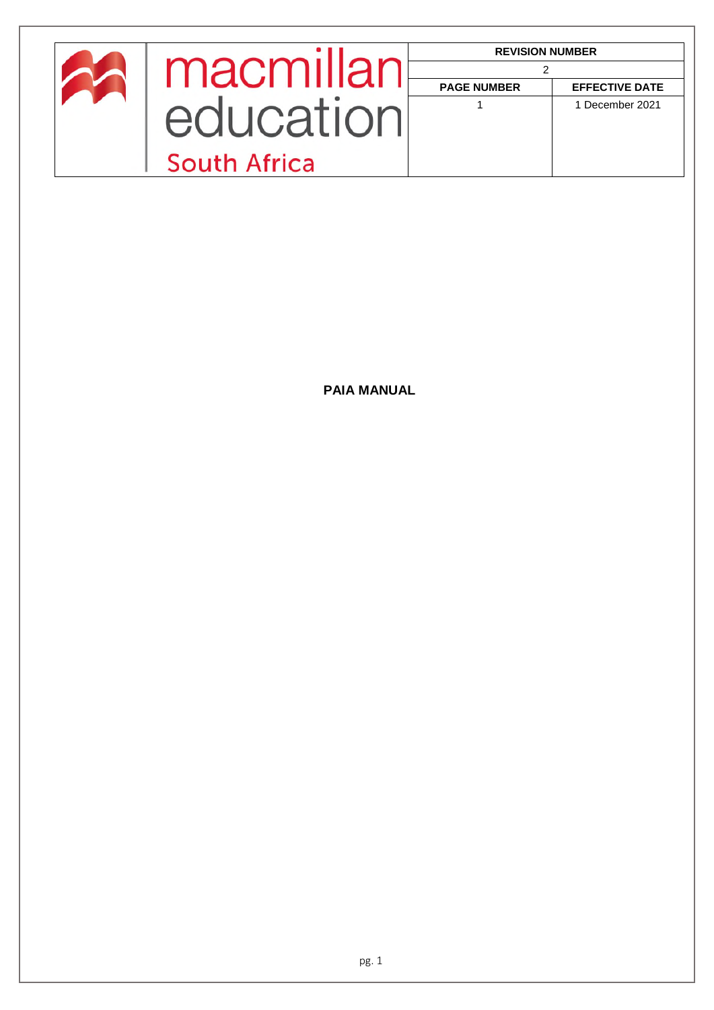|              | <b>REVISION NUMBER</b> |                       |
|--------------|------------------------|-----------------------|
| macmillan    |                        |                       |
|              | <b>PAGE NUMBER</b>     | <b>EFFECTIVE DATE</b> |
| equcation    |                        | 1 December 2021       |
|              |                        |                       |
| South Africa |                        |                       |

**PAIA MANUAL**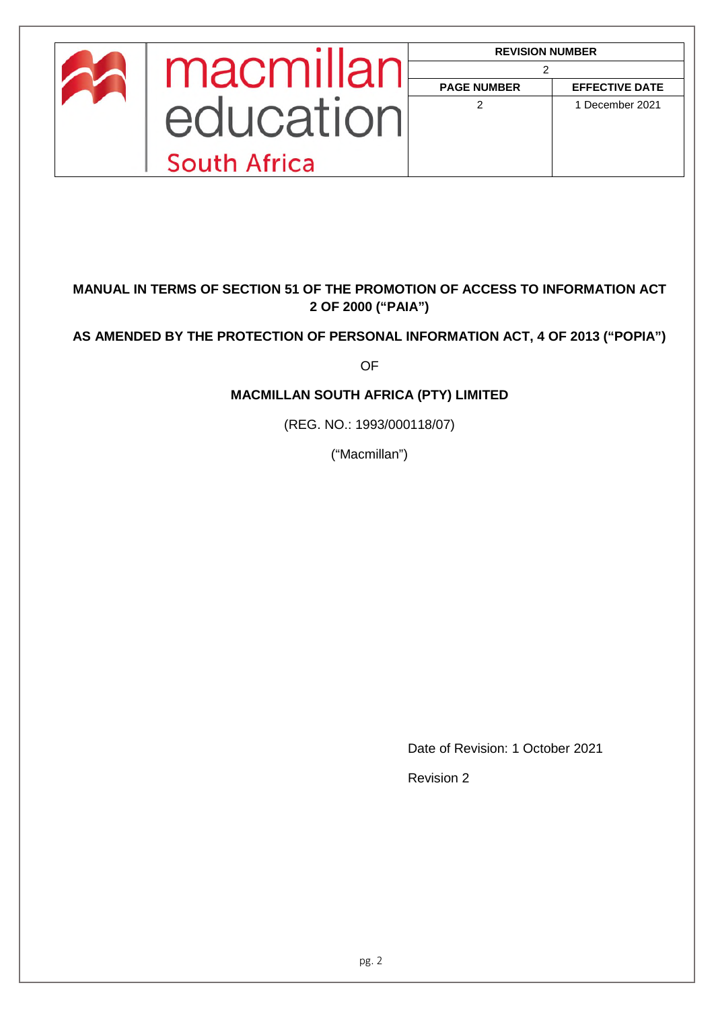| macmillar    | <b>REVISION NUMBER</b> |                       |
|--------------|------------------------|-----------------------|
|              | <b>PAGE NUMBER</b>     | <b>EFFECTIVE DATE</b> |
| equeation    | 2                      | 1 December 2021       |
| South Africa |                        |                       |

## **MANUAL IN TERMS OF SECTION 51 OF THE PROMOTION OF ACCESS TO INFORMATION ACT 2 OF 2000 ("PAIA")**

## **AS AMENDED BY THE PROTECTION OF PERSONAL INFORMATION ACT, 4 OF 2013 ("POPIA")**

OF

## **MACMILLAN SOUTH AFRICA (PTY) LIMITED**

(REG. NO.: 1993/000118/07)

("Macmillan")

Date of Revision: 1 October 2021

Revision 2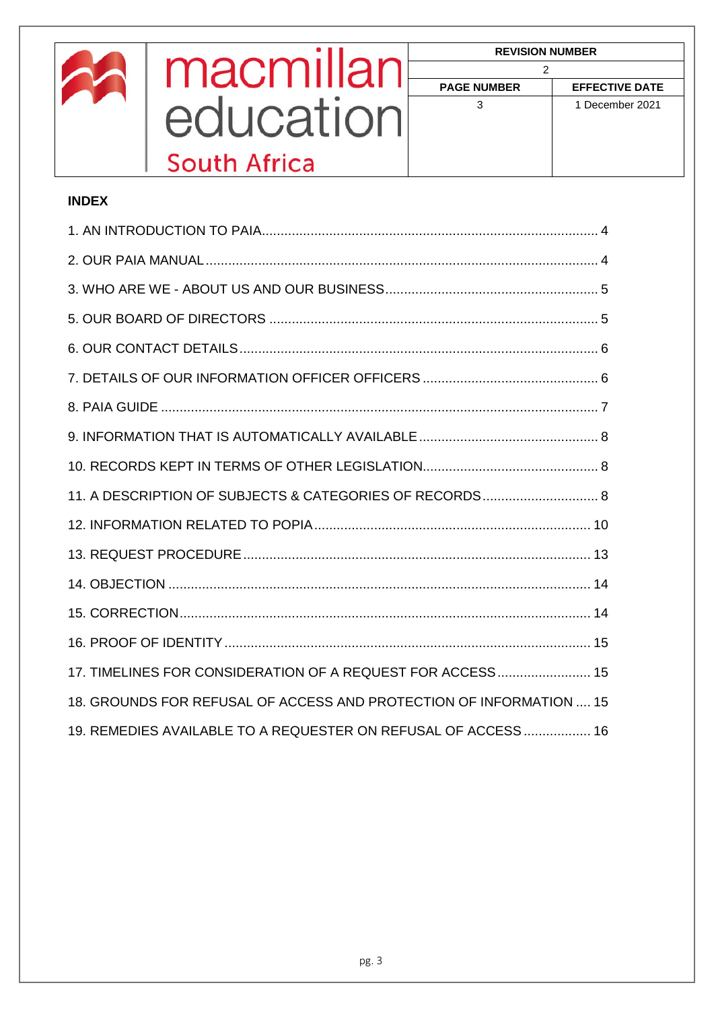<span id="page-2-0"></span>

|              | macmillan                                                           | <b>REVISION NUMBER</b><br>2 |                       |
|--------------|---------------------------------------------------------------------|-----------------------------|-----------------------|
|              |                                                                     | <b>PAGE NUMBER</b>          | <b>EFFECTIVE DATE</b> |
|              | education                                                           | 3                           | 1 December 2021       |
|              | <b>South Africa</b>                                                 |                             |                       |
| <b>INDEX</b> |                                                                     |                             |                       |
|              |                                                                     |                             |                       |
|              |                                                                     |                             |                       |
|              |                                                                     |                             |                       |
|              |                                                                     |                             |                       |
|              |                                                                     |                             |                       |
|              |                                                                     |                             |                       |
|              |                                                                     |                             |                       |
|              |                                                                     |                             |                       |
|              |                                                                     |                             |                       |
|              | 11. A DESCRIPTION OF SUBJECTS & CATEGORIES OF RECORDS 8             |                             |                       |
|              |                                                                     |                             |                       |
|              |                                                                     |                             |                       |
|              |                                                                     |                             |                       |
|              |                                                                     |                             |                       |
|              |                                                                     |                             |                       |
|              | 17. TIMELINES FOR CONSIDERATION OF A REQUEST FOR ACCESS 15          |                             |                       |
|              | 18. GROUNDS FOR REFUSAL OF ACCESS AND PROTECTION OF INFORMATION  15 |                             |                       |
|              | 19. REMEDIES AVAILABLE TO A REQUESTER ON REFUSAL OF ACCESS  16      |                             |                       |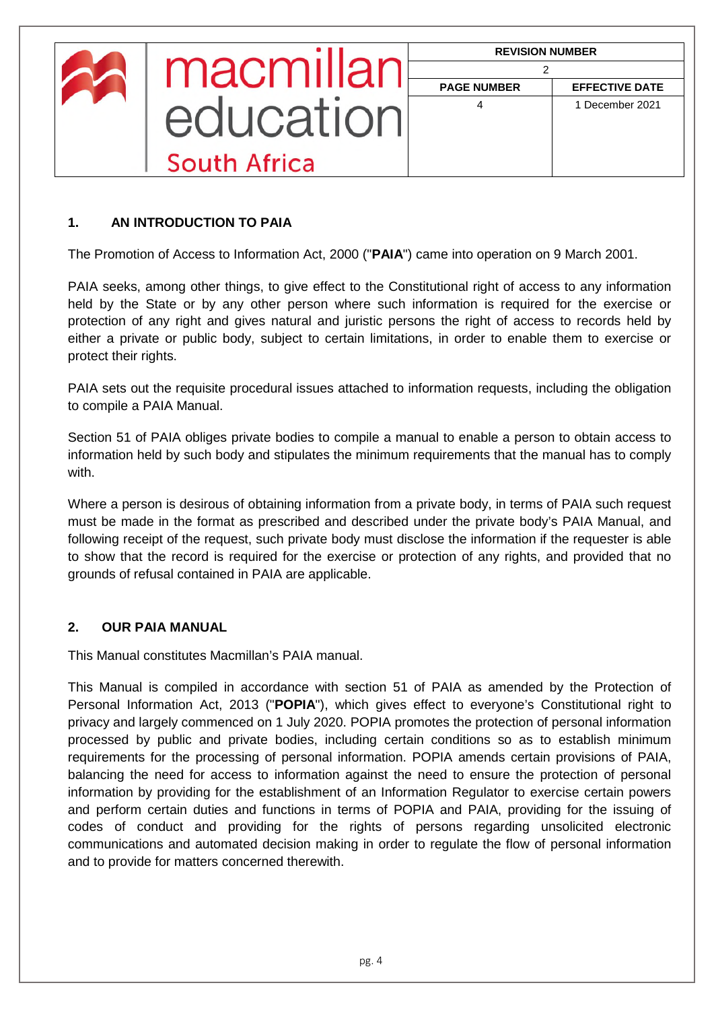| macmillar    | <b>REVISION NUMBER</b> |                       |
|--------------|------------------------|-----------------------|
|              | <b>PAGE NUMBER</b>     | <b>EFFECTIVE DATE</b> |
| equcation    | 4                      | 1 December 2021       |
| South Africa |                        |                       |

## **1. AN INTRODUCTION TO PAIA**

The Promotion of Access to Information Act, 2000 ("**PAIA**") came into operation on 9 March 2001.

PAIA seeks, among other things, to give effect to the Constitutional right of access to any information held by the State or by any other person where such information is required for the exercise or protection of any right and gives natural and juristic persons the right of access to records held by either a private or public body, subject to certain limitations, in order to enable them to exercise or protect their rights.

PAIA sets out the requisite procedural issues attached to information requests, including the obligation to compile a PAIA Manual.

Section 51 of PAIA obliges private bodies to compile a manual to enable a person to obtain access to information held by such body and stipulates the minimum requirements that the manual has to comply with.

Where a person is desirous of obtaining information from a private body, in terms of PAIA such request must be made in the format as prescribed and described under the private body's PAIA Manual, and following receipt of the request, such private body must disclose the information if the requester is able to show that the record is required for the exercise or protection of any rights, and provided that no grounds of refusal contained in PAIA are applicable.

## <span id="page-3-0"></span>**2. OUR PAIA MANUAL**

This Manual constitutes Macmillan's PAIA manual.

This Manual is compiled in accordance with section 51 of PAIA as amended by the Protection of Personal Information Act, 2013 ("**POPIA**"), which gives effect to everyone's Constitutional right to privacy and largely commenced on 1 July 2020. POPIA promotes the protection of personal information processed by public and private bodies, including certain conditions so as to establish minimum requirements for the processing of personal information. POPIA amends certain provisions of PAIA, balancing the need for access to information against the need to ensure the protection of personal information by providing for the establishment of an Information Regulator to exercise certain powers and perform certain duties and functions in terms of POPIA and PAIA, providing for the issuing of codes of conduct and providing for the rights of persons regarding unsolicited electronic communications and automated decision making in order to regulate the flow of personal information and to provide for matters concerned therewith.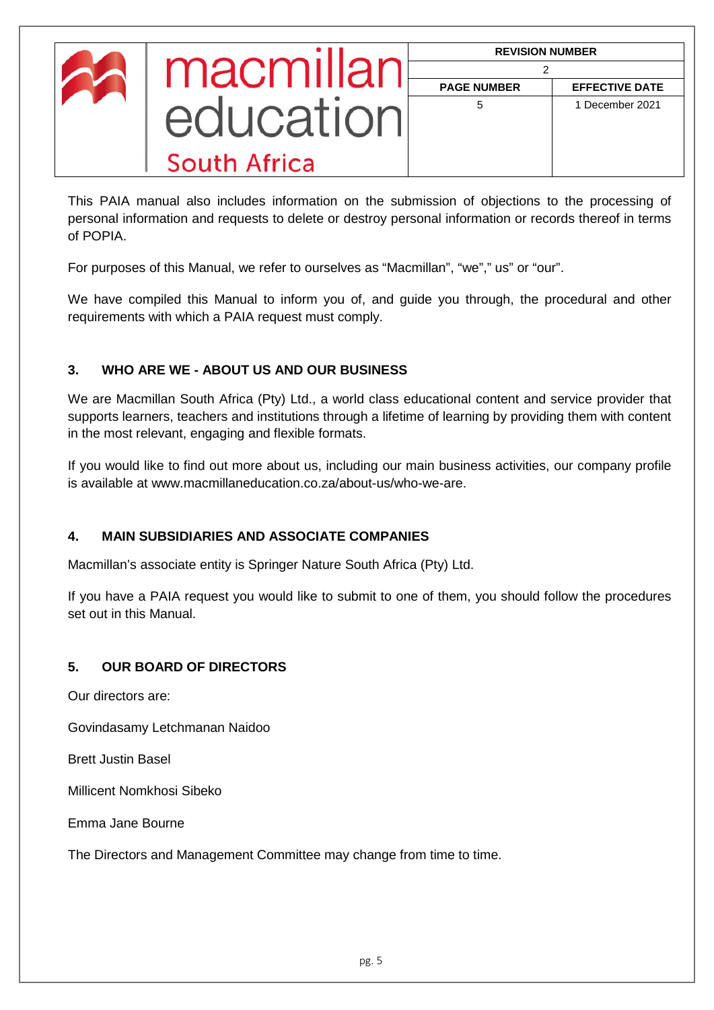| macmillan    | <b>REVISION NUMBER</b> |                       |
|--------------|------------------------|-----------------------|
|              | <b>PAGE NUMBER</b>     | <b>EFFECTIVE DATE</b> |
| equcation    | 5                      | 1 December 2021       |
| South Africa |                        |                       |

This PAIA manual also includes information on the submission of objections to the processing of personal information and requests to delete or destroy personal information or records thereof in terms of POPIA.

For purposes of this Manual, we refer to ourselves as "Macmillan", "we"," us" or "our".

We have compiled this Manual to inform you of, and guide you through, the procedural and other requirements with which a PAIA request must comply.

## <span id="page-4-0"></span>**3. WHO ARE WE - ABOUT US AND OUR BUSINESS**

We are Macmillan South Africa (Pty) Ltd., a world class educational content and service provider that supports learners, teachers and institutions through a lifetime of learning by providing them with content in the most relevant, engaging and flexible formats.

If you would like to find out more about us, including our main business activities, our company profile is available at www.macmillaneducation.co.za/about-us/who-we-are.

## **4. MAIN SUBSIDIARIES AND ASSOCIATE COMPANIES**

Macmillan's associate entity is Springer Nature South Africa (Pty) Ltd.

If you have a PAIA request you would like to submit to one of them, you should follow the procedures set out in this Manual.

## <span id="page-4-1"></span>**5. OUR BOARD OF DIRECTORS**

Our directors are:

Govindasamy Letchmanan Naidoo

Brett Justin Basel

Millicent Nomkhosi Sibeko

Emma Jane Bourne

The Directors and Management Committee may change from time to time.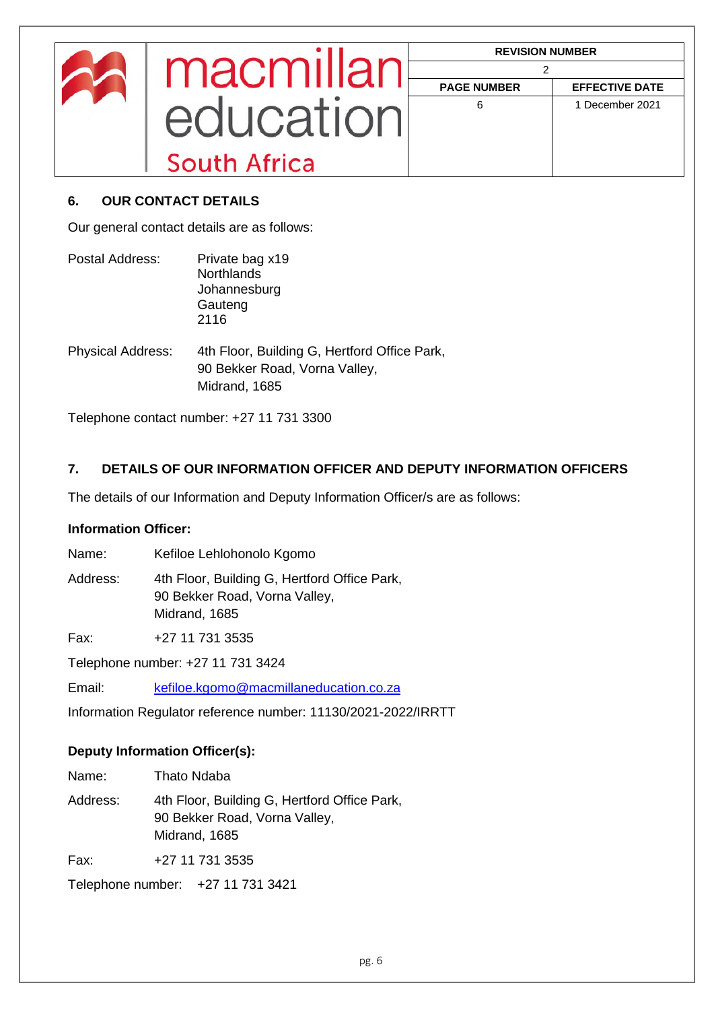|              | <b>REVISION NUMBER</b> |                       |
|--------------|------------------------|-----------------------|
| macmillan    | <b>PAGE NUMBER</b>     | <b>EFFECTIVE DATE</b> |
| equcation    | 6                      | 1 December 2021       |
| South Africa |                        |                       |

## <span id="page-5-0"></span>**6. OUR CONTACT DETAILS**

Our general contact details are as follows:

| Postal Address:          | Private bag x19<br><b>Northlands</b><br>Johannesburg<br>Gauteng<br>2116                        |
|--------------------------|------------------------------------------------------------------------------------------------|
| <b>Physical Address:</b> | 4th Floor, Building G, Hertford Office Park,<br>90 Bekker Road, Vorna Valley,<br>Midrand, 1685 |

Telephone contact number: +27 11 731 3300

## <span id="page-5-1"></span>**7. DETAILS OF OUR INFORMATION OFFICER AND DEPUTY INFORMATION OFFICERS**

The details of our Information and Deputy Information Officer/s are as follows:

## **Information Officer:**

Name: Kefiloe Lehlohonolo Kgomo

Address: 4th Floor, Building G, Hertford Office Park, 90 Bekker Road, Vorna Valley, Midrand, 1685

Fax: +27 11 731 3535

Telephone number: +27 11 731 3424

Email: kefiloe.kgomo@macmillaneducation.co.za

Information Regulator reference number: 11130/2021-2022/IRRTT

## **Deputy Information Officer(s):**

| Name:    | Thato Ndaba                                                                                    |
|----------|------------------------------------------------------------------------------------------------|
| Address: | 4th Floor, Building G, Hertford Office Park,<br>90 Bekker Road, Vorna Valley,<br>Midrand, 1685 |
| Fax:     | +27 11 731 3535                                                                                |
|          | Telephone number: +27 11 731 3421                                                              |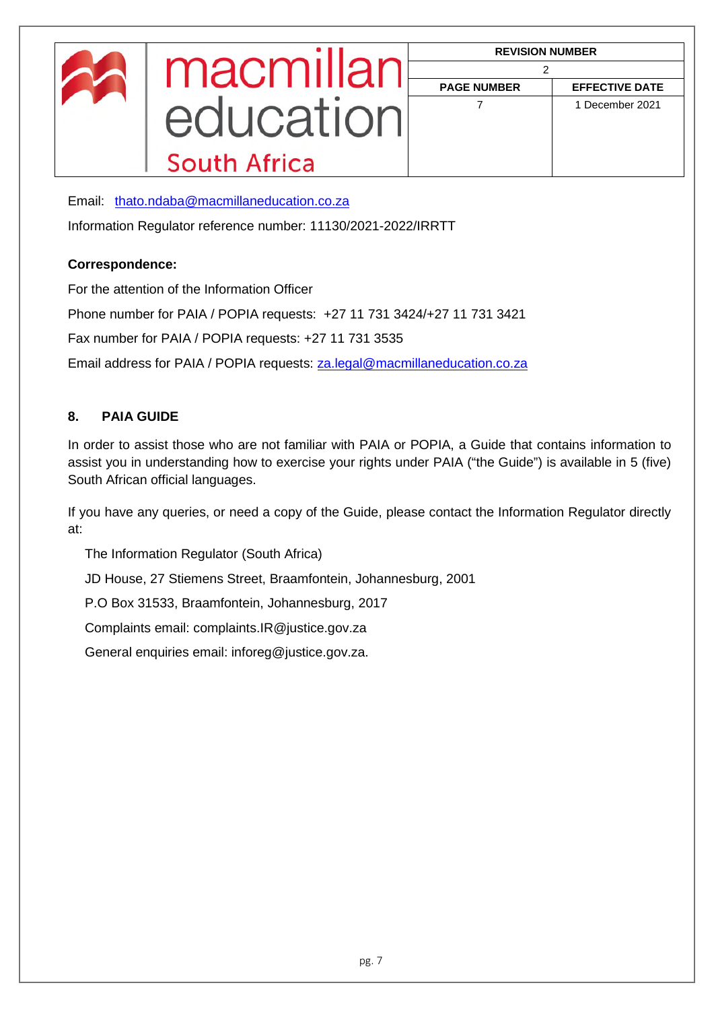Email: [thato.ndaba@macmillaneducation.co.za](mailto:thato.ndaba@macmillaneducation.co.za) 

Information Regulator reference number: 11130/2021-2022/IRRTT

## **Correspondence:**

For the attention of the Information Officer

Phone number for PAIA / POPIA requests: +27 11 731 3424/+27 11 731 3421

Fax number for PAIA / POPIA requests: +27 11 731 3535

Email address for PAIA / POPIA requests: [za.legal@macmillaneducation.co.za](mailto:za.legal@macmillaneducation.co.za) 

## <span id="page-6-0"></span>**8. PAIA GUIDE**

In order to assist those who are not familiar with PAIA or POPIA, a Guide that contains information to assist you in understanding how to exercise your rights under PAIA ("the Guide") is available in 5 (five) South African official languages.

If you have any queries, or need a copy of the Guide, please contact the Information Regulator directly at:

The Information Regulator (South Africa)

JD House, 27 Stiemens Street, Braamfontein, Johannesburg, 2001

P.O Box 31533, Braamfontein, Johannesburg, 2017

Complaints email: complaints.IR@justice.gov.za

<span id="page-6-1"></span>General enquiries email: inforeg@justice.gov.za.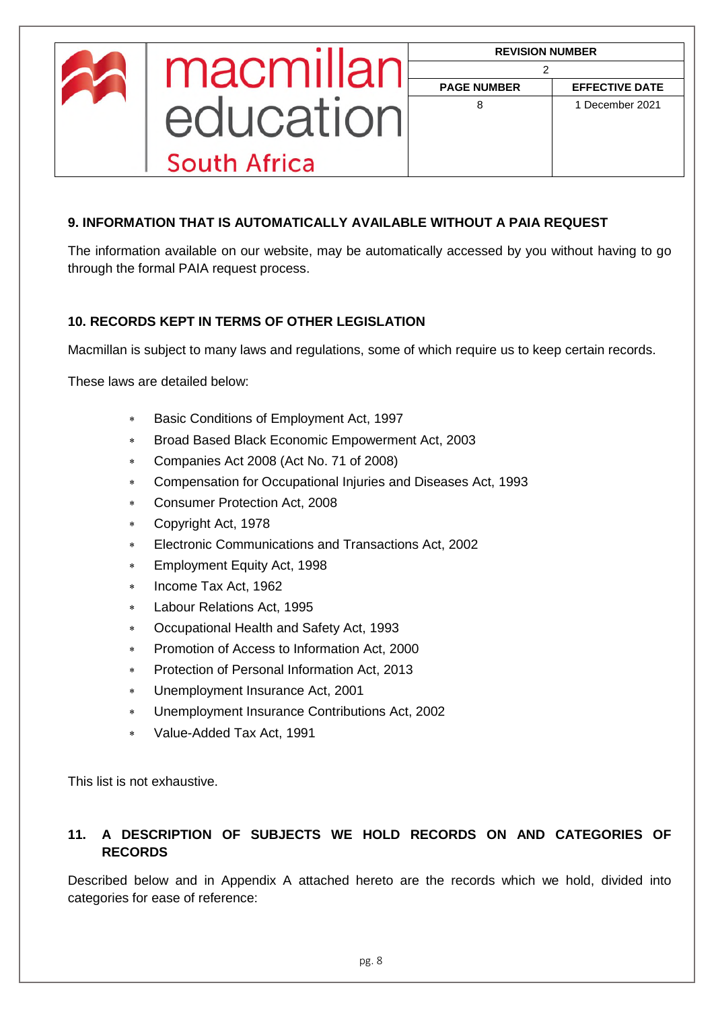|              | <b>REVISION NUMBER</b> |                       |
|--------------|------------------------|-----------------------|
| macmillar    | <b>PAGE NUMBER</b>     | <b>EFFECTIVE DATE</b> |
| equeation    | 8                      | 1 December 2021       |
| South Africa |                        |                       |

## **9. INFORMATION THAT IS AUTOMATICALLY AVAILABLE WITHOUT A PAIA REQUEST**

The information available on our website, may be automatically accessed by you without having to go through the formal PAIA request process.

## <span id="page-7-0"></span>**10. RECORDS KEPT IN TERMS OF OTHER LEGISLATION**

Macmillan is subject to many laws and regulations, some of which require us to keep certain records.

These laws are detailed below:

- Basic Conditions of Employment Act, 1997
- Broad Based Black Economic Empowerment Act, 2003
- Companies Act 2008 (Act No. 71 of 2008)
- Compensation for Occupational Injuries and Diseases Act, 1993
- Consumer Protection Act, 2008
- Copyright Act, 1978
- Electronic Communications and Transactions Act, 2002
- Employment Equity Act, 1998
- Income Tax Act, 1962
- Labour Relations Act, 1995
- Occupational Health and Safety Act, 1993
- Promotion of Access to Information Act, 2000
- Protection of Personal Information Act, 2013
- Unemployment Insurance Act, 2001
- Unemployment Insurance Contributions Act, 2002
- Value-Added Tax Act, 1991

This list is not exhaustive.

## <span id="page-7-1"></span>**11. A DESCRIPTION OF SUBJECTS WE HOLD RECORDS ON AND CATEGORIES OF RECORDS**

Described below and in Appendix A attached hereto are the records which we hold, divided into categories for ease of reference: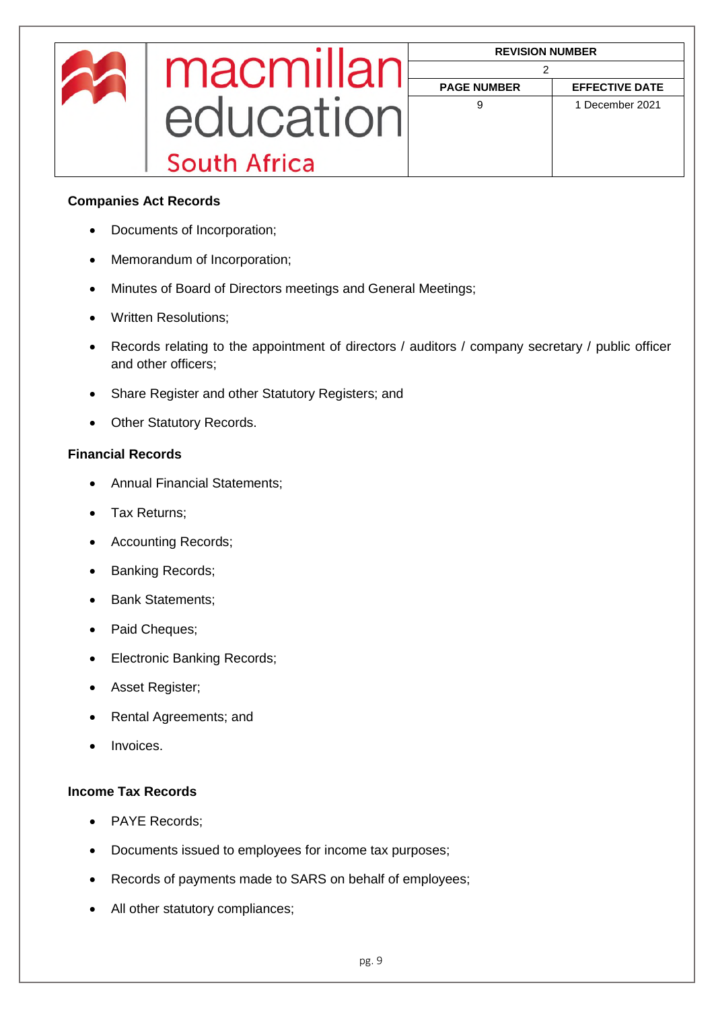|              | <b>REVISION NUMBER</b> |                       |
|--------------|------------------------|-----------------------|
| macmillan    |                        |                       |
|              | <b>PAGE NUMBER</b>     | <b>EFFECTIVE DATE</b> |
|              | 9                      | 1 December 2021       |
| education    |                        |                       |
| South Africa |                        |                       |

#### **Companies Act Records**

- Documents of Incorporation;
- Memorandum of Incorporation;
- Minutes of Board of Directors meetings and General Meetings;
- Written Resolutions;
- Records relating to the appointment of directors / auditors / company secretary / public officer and other officers;
- Share Register and other Statutory Registers; and
- Other Statutory Records.

## **Financial Records**

- Annual Financial Statements;
- Tax Returns;
- Accounting Records;
- Banking Records;
- Bank Statements;
- Paid Cheques;
- Electronic Banking Records;
- Asset Register;
- Rental Agreements; and
- Invoices.

#### **Income Tax Records**

- PAYE Records:
- Documents issued to employees for income tax purposes;
- Records of payments made to SARS on behalf of employees;
- All other statutory compliances;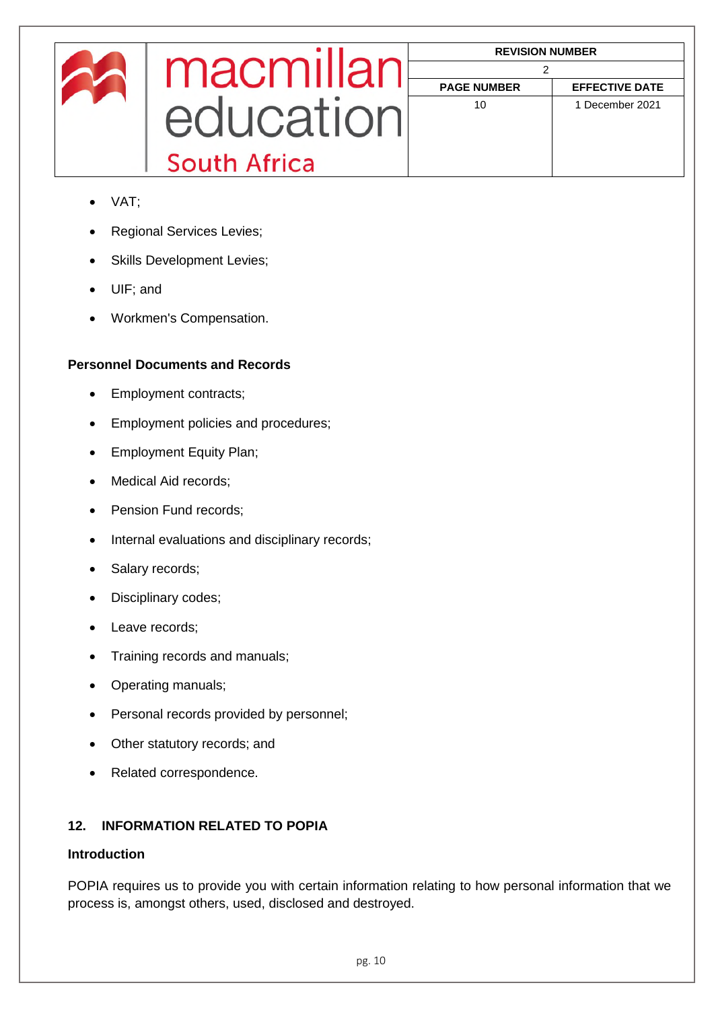|            |              | <b>REVISION NUMBER</b> |                       |
|------------|--------------|------------------------|-----------------------|
|            | macmillar    | <b>PAGE NUMBER</b>     | <b>EFFECTIVE DATE</b> |
| equication | 10           | 1 December 2021        |                       |
|            | South Africa |                        |                       |

- VAT;
- Regional Services Levies;
- Skills Development Levies;
- UIF; and
- Workmen's Compensation.

## **Personnel Documents and Records**

- Employment contracts;
- Employment policies and procedures;
- Employment Equity Plan;
- Medical Aid records:
- Pension Fund records;
- Internal evaluations and disciplinary records;
- Salary records;
- Disciplinary codes;
- Leave records:
- Training records and manuals;
- Operating manuals;
- Personal records provided by personnel;
- Other statutory records; and
- Related correspondence.

## <span id="page-9-0"></span>**12. INFORMATION RELATED TO POPIA**

## **Introduction**

POPIA requires us to provide you with certain information relating to how personal information that we process is, amongst others, used, disclosed and destroyed.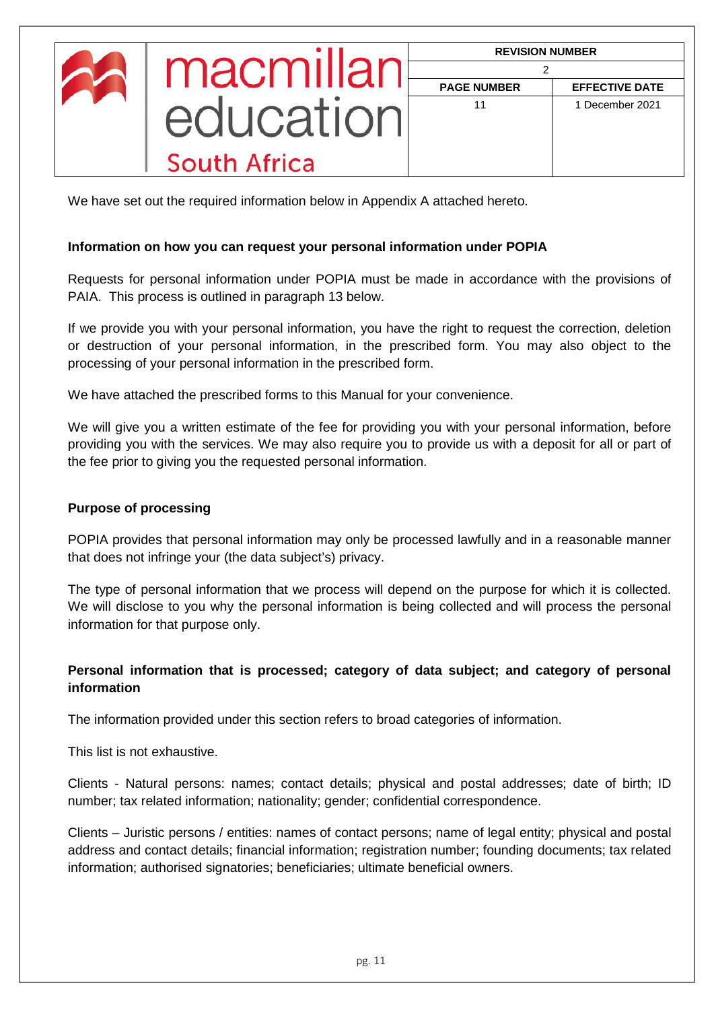| macmillar           | <b>REVISION NUMBER</b> |                       |
|---------------------|------------------------|-----------------------|
|                     | <b>PAGE NUMBER</b>     | <b>EFFECTIVE DATE</b> |
| <b>COLICATION</b>   | 11                     | 1 December 2021       |
| <b>South Africa</b> |                        |                       |

We have set out the required information below in Appendix A attached hereto.

## **Information on how you can request your personal information under POPIA**

Requests for personal information under POPIA must be made in accordance with the provisions of PAIA. This process is outlined in paragraph 13 below.

If we provide you with your personal information, you have the right to request the correction, deletion or destruction of your personal information, in the prescribed form. You may also object to the processing of your personal information in the prescribed form.

We have attached the prescribed forms to this Manual for your convenience.

We will give you a written estimate of the fee for providing you with your personal information, before providing you with the services. We may also require you to provide us with a deposit for all or part of the fee prior to giving you the requested personal information.

## **Purpose of processing**

POPIA provides that personal information may only be processed lawfully and in a reasonable manner that does not infringe your (the data subject's) privacy.

The type of personal information that we process will depend on the purpose for which it is collected. We will disclose to you why the personal information is being collected and will process the personal information for that purpose only.

## **Personal information that is processed; category of data subject; and category of personal information**

The information provided under this section refers to broad categories of information.

This list is not exhaustive.

Clients - Natural persons: names; contact details; physical and postal addresses; date of birth; ID number; tax related information; nationality; gender; confidential correspondence.

Clients – Juristic persons / entities: names of contact persons; name of legal entity; physical and postal address and contact details; financial information; registration number; founding documents; tax related information; authorised signatories; beneficiaries; ultimate beneficial owners.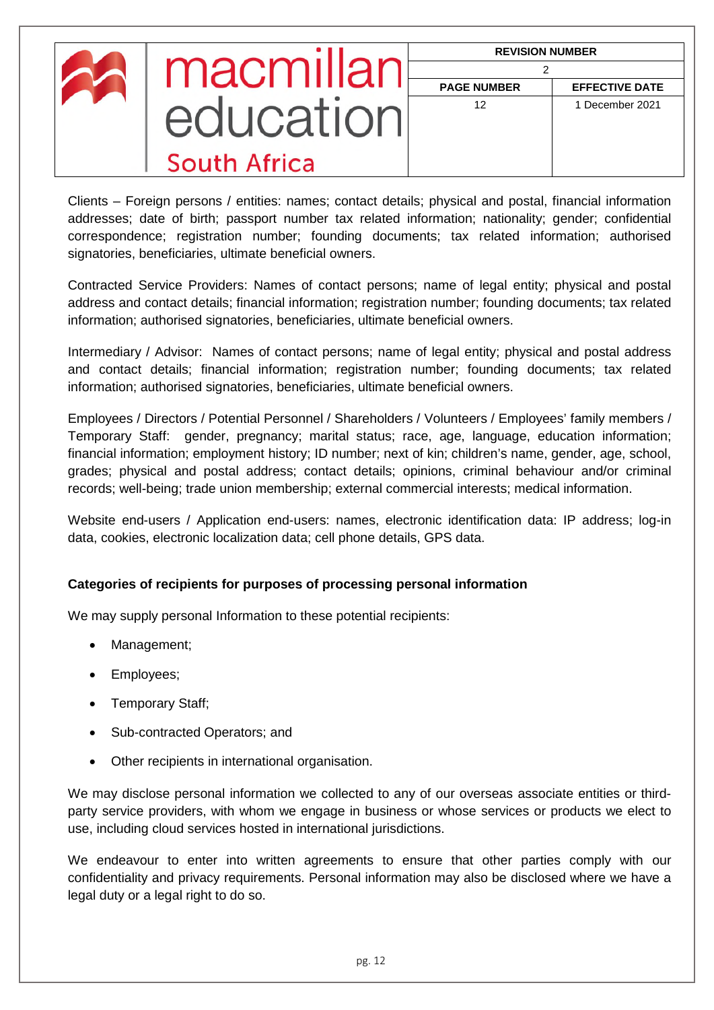| macmillan    | <b>REVISION NUMBER</b> |                       |
|--------------|------------------------|-----------------------|
|              | <b>PAGE NUMBER</b>     | <b>EFFECTIVE DATE</b> |
| equcation    | 12                     | 1 December 2021       |
| South Africa |                        |                       |

Clients – Foreign persons / entities: names; contact details; physical and postal, financial information addresses; date of birth; passport number tax related information; nationality; gender; confidential correspondence; registration number; founding documents; tax related information; authorised signatories, beneficiaries, ultimate beneficial owners.

Contracted Service Providers: Names of contact persons; name of legal entity; physical and postal address and contact details; financial information; registration number; founding documents; tax related information; authorised signatories, beneficiaries, ultimate beneficial owners.

Intermediary / Advisor: Names of contact persons; name of legal entity; physical and postal address and contact details; financial information; registration number; founding documents; tax related information; authorised signatories, beneficiaries, ultimate beneficial owners.

Employees / Directors / Potential Personnel / Shareholders / Volunteers / Employees' family members / Temporary Staff: gender, pregnancy; marital status; race, age, language, education information; financial information; employment history; ID number; next of kin; children's name, gender, age, school, grades; physical and postal address; contact details; opinions, criminal behaviour and/or criminal records; well-being; trade union membership; external commercial interests; medical information.

Website end-users / Application end-users: names, electronic identification data: IP address; log-in data, cookies, electronic localization data; cell phone details, GPS data.

## **Categories of recipients for purposes of processing personal information**

We may supply personal Information to these potential recipients:

- Management;
- Employees;
- Temporary Staff;
- Sub-contracted Operators; and
- Other recipients in international organisation.

We may disclose personal information we collected to any of our overseas associate entities or thirdparty service providers, with whom we engage in business or whose services or products we elect to use, including cloud services hosted in international jurisdictions.

We endeavour to enter into written agreements to ensure that other parties comply with our confidentiality and privacy requirements. Personal information may also be disclosed where we have a legal duty or a legal right to do so.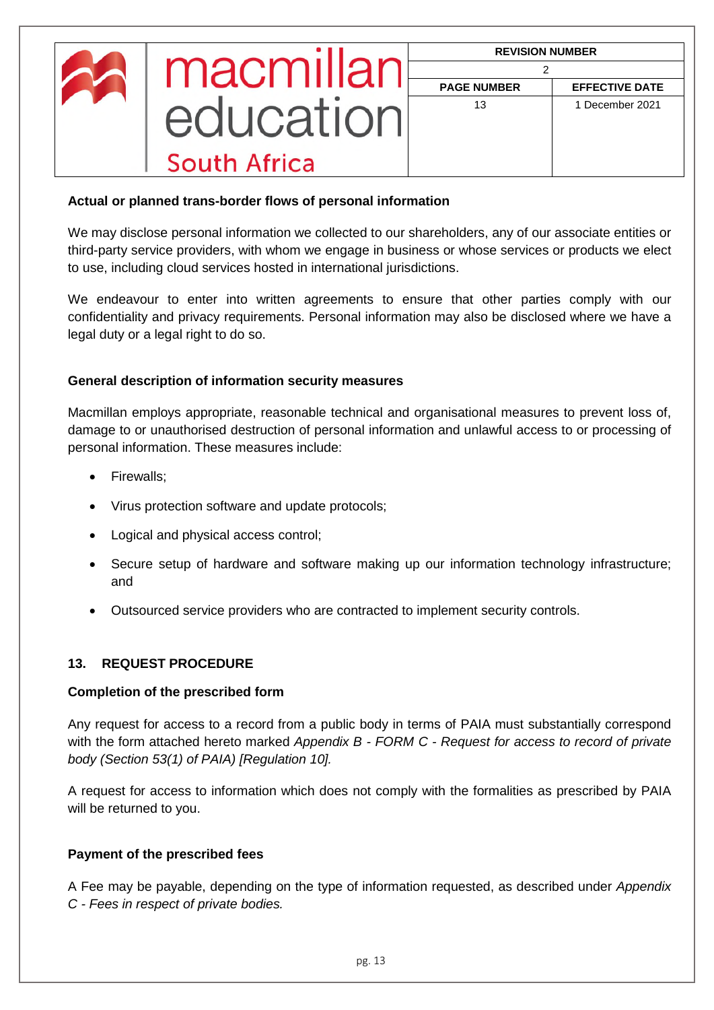| macmillar    | <b>REVISION NUMBER</b> |                       |
|--------------|------------------------|-----------------------|
|              | <b>PAGE NUMBER</b>     | <b>EFFECTIVE DATE</b> |
| equication   | 13                     | 1 December 2021       |
| South Africa |                        |                       |

## **Actual or planned trans-border flows of personal information**

We may disclose personal information we collected to our shareholders, any of our associate entities or third-party service providers, with whom we engage in business or whose services or products we elect to use, including cloud services hosted in international jurisdictions.

We endeavour to enter into written agreements to ensure that other parties comply with our confidentiality and privacy requirements. Personal information may also be disclosed where we have a legal duty or a legal right to do so.

#### **General description of information security measures**

Macmillan employs appropriate, reasonable technical and organisational measures to prevent loss of, damage to or unauthorised destruction of personal information and unlawful access to or processing of personal information. These measures include:

- Firewalls:
- Virus protection software and update protocols;
- Logical and physical access control;
- Secure setup of hardware and software making up our information technology infrastructure; and
- Outsourced service providers who are contracted to implement security controls.

## <span id="page-12-0"></span>**13. REQUEST PROCEDURE**

#### **Completion of the prescribed form**

Any request for access to a record from a public body in terms of PAIA must substantially correspond with the form attached hereto marked *Appendix B - FORM C - Request for access to record of private body (Section 53(1) of PAIA) [Regulation 10].*

A request for access to information which does not comply with the formalities as prescribed by PAIA will be returned to you.

#### **Payment of the prescribed fees**

A Fee may be payable, depending on the type of information requested, as described under *Appendix C - Fees in respect of private bodies.*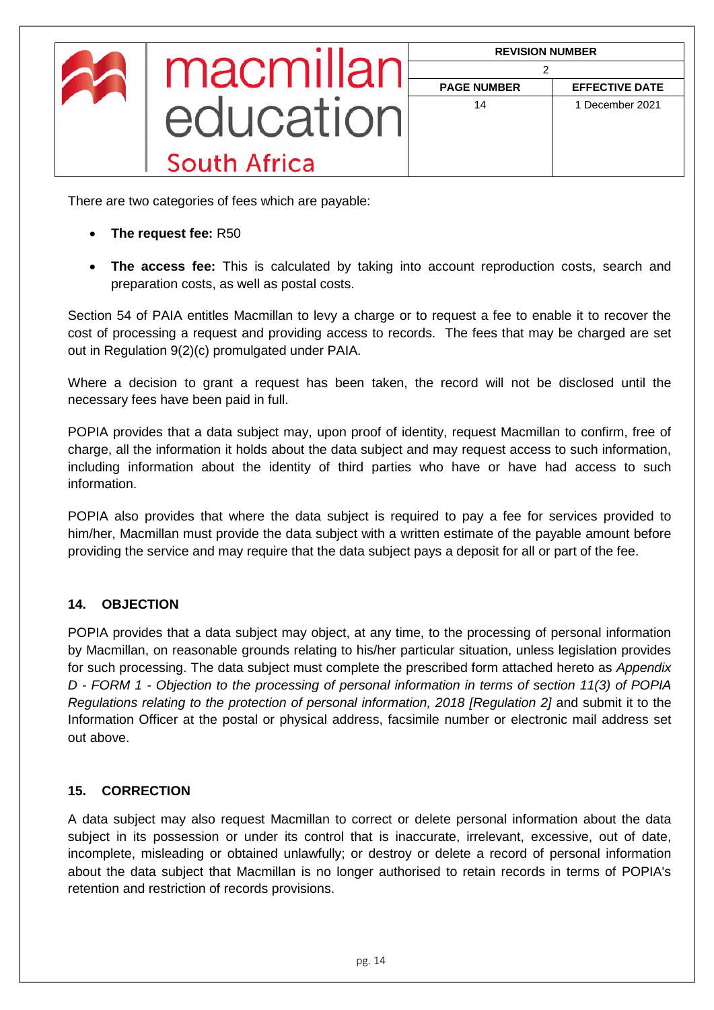| macmillan    | <b>REVISION NUMBER</b> |                       |
|--------------|------------------------|-----------------------|
|              | <b>PAGE NUMBER</b>     | <b>EFFECTIVE DATE</b> |
| education    | 14                     | 1 December 2021       |
| South Africa |                        |                       |

There are two categories of fees which are payable:

- **The request fee:** R50
- **The access fee:** This is calculated by taking into account reproduction costs, search and preparation costs, as well as postal costs.

Section 54 of PAIA entitles Macmillan to levy a charge or to request a fee to enable it to recover the cost of processing a request and providing access to records. The fees that may be charged are set out in Regulation 9(2)(c) promulgated under PAIA.

Where a decision to grant a request has been taken, the record will not be disclosed until the necessary fees have been paid in full.

POPIA provides that a data subject may, upon proof of identity, request Macmillan to confirm, free of charge, all the information it holds about the data subject and may request access to such information, including information about the identity of third parties who have or have had access to such information.

POPIA also provides that where the data subject is required to pay a fee for services provided to him/her, Macmillan must provide the data subject with a written estimate of the payable amount before providing the service and may require that the data subject pays a deposit for all or part of the fee.

## <span id="page-13-0"></span>**14. OBJECTION**

POPIA provides that a data subject may object, at any time, to the processing of personal information by Macmillan, on reasonable grounds relating to his/her particular situation, unless legislation provides for such processing. The data subject must complete the prescribed form attached hereto as *Appendix D - FORM 1 - Objection to the processing of personal information in terms of section 11(3) of POPIA Regulations relating to the protection of personal information, 2018 [Regulation 2]* and submit it to the Information Officer at the postal or physical address, facsimile number or electronic mail address set out above.

## <span id="page-13-1"></span>**15. CORRECTION**

A data subject may also request Macmillan to correct or delete personal information about the data subject in its possession or under its control that is inaccurate, irrelevant, excessive, out of date, incomplete, misleading or obtained unlawfully; or destroy or delete a record of personal information about the data subject that Macmillan is no longer authorised to retain records in terms of POPIA's retention and restriction of records provisions.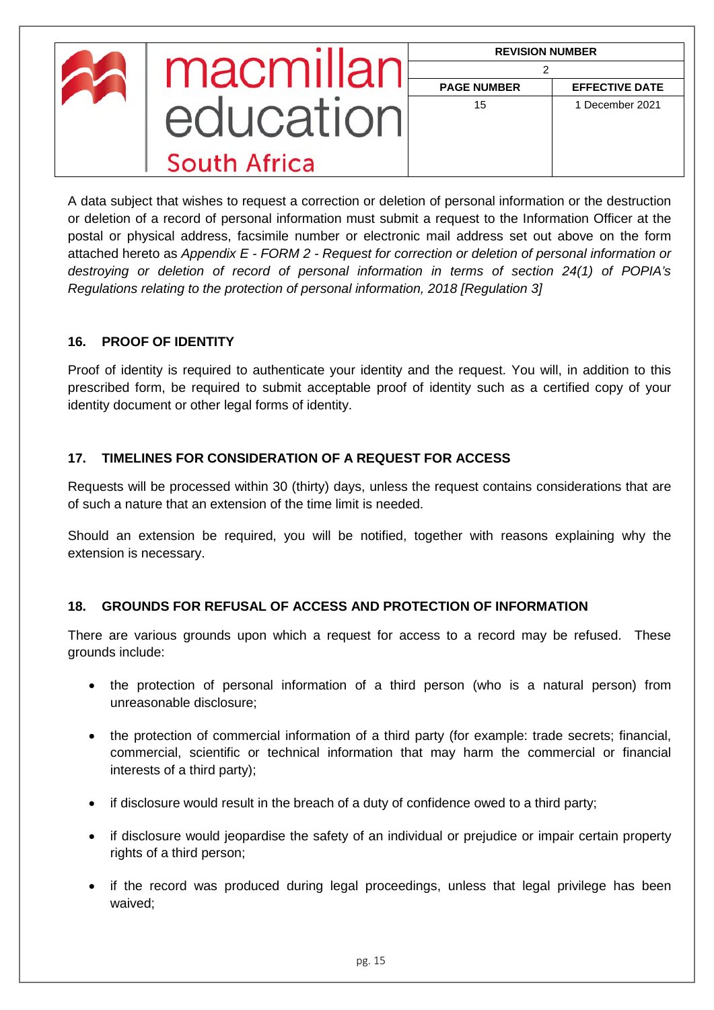| macmillar    | <b>REVISION NUMBER</b> |                       |
|--------------|------------------------|-----------------------|
|              | <b>PAGE NUMBER</b>     | <b>EFFECTIVE DATE</b> |
| equication   | 15                     | 1 December 2021       |
| South Africa |                        |                       |

A data subject that wishes to request a correction or deletion of personal information or the destruction or deletion of a record of personal information must submit a request to the Information Officer at the postal or physical address, facsimile number or electronic mail address set out above on the form attached hereto as *Appendix E - FORM 2 - Request for correction or deletion of personal information or destroying or deletion of record of personal information in terms of section 24(1) of POPIA's Regulations relating to the protection of personal information, 2018 [Regulation 3]*

## <span id="page-14-0"></span>**16. PROOF OF IDENTITY**

Proof of identity is required to authenticate your identity and the request. You will, in addition to this prescribed form, be required to submit acceptable proof of identity such as a certified copy of your identity document or other legal forms of identity.

## <span id="page-14-1"></span>**17. TIMELINES FOR CONSIDERATION OF A REQUEST FOR ACCESS**

Requests will be processed within 30 (thirty) days, unless the request contains considerations that are of such a nature that an extension of the time limit is needed.

Should an extension be required, you will be notified, together with reasons explaining why the extension is necessary.

## <span id="page-14-2"></span>**18. GROUNDS FOR REFUSAL OF ACCESS AND PROTECTION OF INFORMATION**

There are various grounds upon which a request for access to a record may be refused. These grounds include:

- the protection of personal information of a third person (who is a natural person) from unreasonable disclosure;
- the protection of commercial information of a third party (for example: trade secrets; financial, commercial, scientific or technical information that may harm the commercial or financial interests of a third party);
- if disclosure would result in the breach of a duty of confidence owed to a third party;
- if disclosure would jeopardise the safety of an individual or prejudice or impair certain property rights of a third person;
- if the record was produced during legal proceedings, unless that legal privilege has been waived;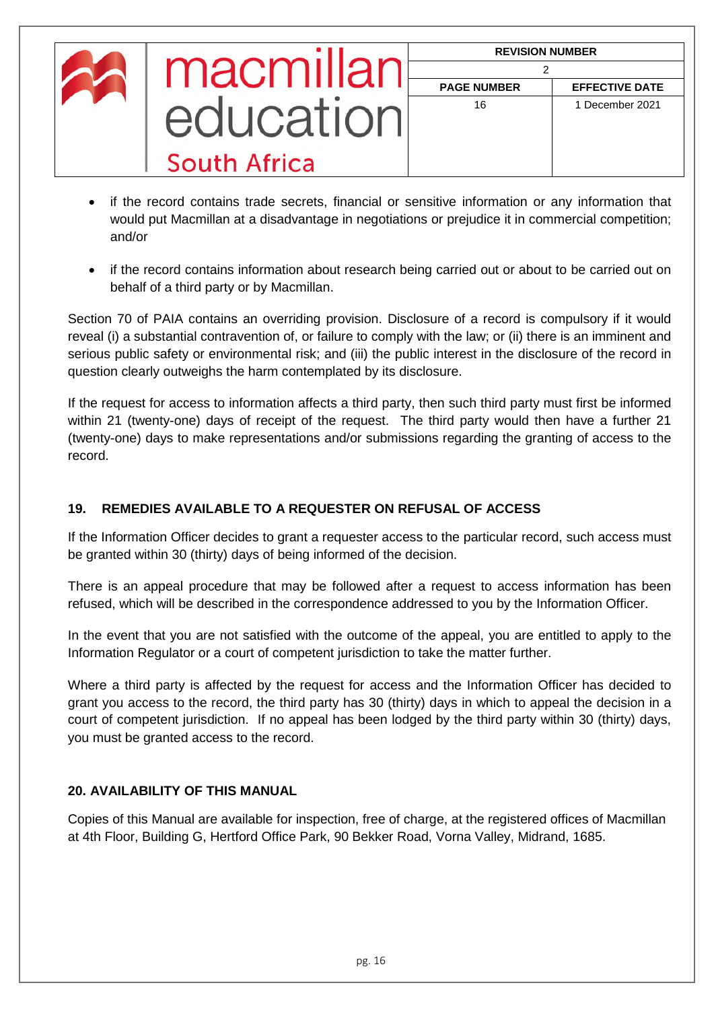| macmillar    | <b>REVISION NUMBER</b> |                       |
|--------------|------------------------|-----------------------|
|              | <b>PAGE NUMBER</b>     | <b>EFFECTIVE DATE</b> |
| equeation    | 16                     | 1 December 2021       |
| South Africa |                        |                       |

- if the record contains trade secrets, financial or sensitive information or any information that would put Macmillan at a disadvantage in negotiations or prejudice it in commercial competition; and/or
- if the record contains information about research being carried out or about to be carried out on behalf of a third party or by Macmillan.

Section 70 of PAIA contains an overriding provision. Disclosure of a record is compulsory if it would reveal (i) a substantial contravention of, or failure to comply with the law; or (ii) there is an imminent and serious public safety or environmental risk; and (iii) the public interest in the disclosure of the record in question clearly outweighs the harm contemplated by its disclosure.

If the request for access to information affects a third party, then such third party must first be informed within 21 (twenty-one) days of receipt of the request. The third party would then have a further 21 (twenty-one) days to make representations and/or submissions regarding the granting of access to the record.

## <span id="page-15-0"></span>**19. REMEDIES AVAILABLE TO A REQUESTER ON REFUSAL OF ACCESS**

If the Information Officer decides to grant a requester access to the particular record, such access must be granted within 30 (thirty) days of being informed of the decision.

There is an appeal procedure that may be followed after a request to access information has been refused, which will be described in the correspondence addressed to you by the Information Officer.

In the event that you are not satisfied with the outcome of the appeal, you are entitled to apply to the Information Regulator or a court of competent jurisdiction to take the matter further.

Where a third party is affected by the request for access and the Information Officer has decided to grant you access to the record, the third party has 30 (thirty) days in which to appeal the decision in a court of competent jurisdiction. If no appeal has been lodged by the third party within 30 (thirty) days, you must be granted access to the record.

## **20. AVAILABILITY OF THIS MANUAL**

Copies of this Manual are available for inspection, free of charge, at the registered offices of Macmillan at 4th Floor, Building G, Hertford Office Park, 90 Bekker Road, Vorna Valley, Midrand, 1685.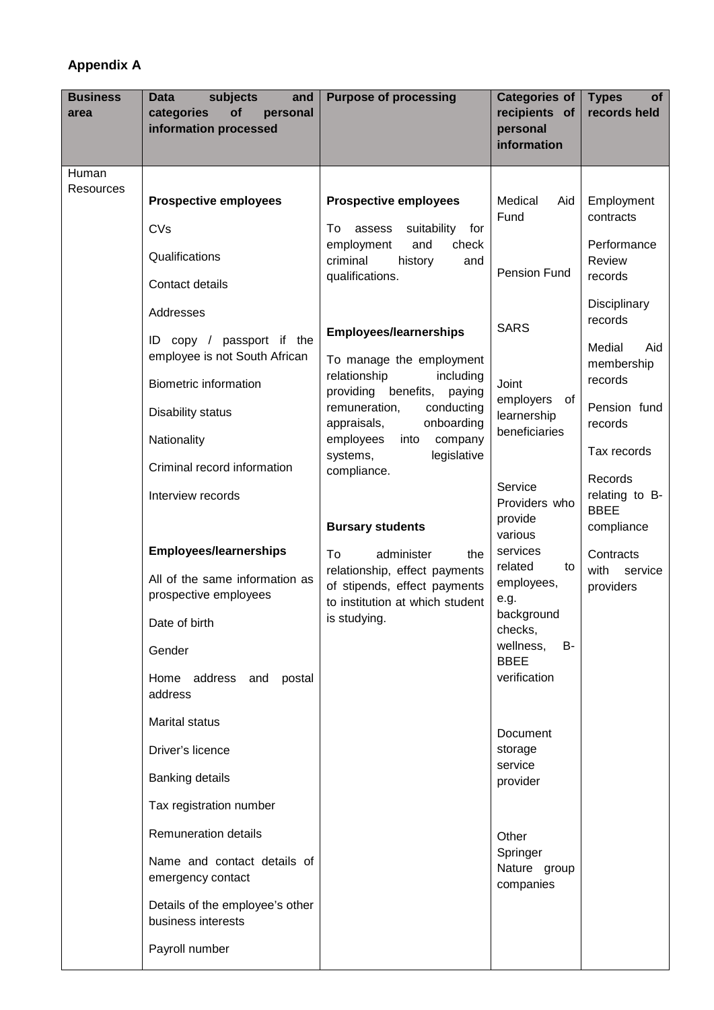# **Appendix A**

| <b>Business</b><br>area | subjects<br><b>Data</b><br>and<br>of<br>categories<br>personal<br>information processed | <b>Purpose of processing</b>                                                                     | <b>Categories of</b><br>recipients of<br>personal<br>information | of<br><b>Types</b><br>records held |
|-------------------------|-----------------------------------------------------------------------------------------|--------------------------------------------------------------------------------------------------|------------------------------------------------------------------|------------------------------------|
| Human                   |                                                                                         |                                                                                                  |                                                                  |                                    |
| Resources               | <b>Prospective employees</b>                                                            | <b>Prospective employees</b>                                                                     | Medical<br>Aid                                                   | Employment                         |
|                         | CVs                                                                                     | suitability<br>assess<br>To<br>for                                                               | Fund                                                             | contracts                          |
|                         | Qualifications                                                                          | employment<br>and<br>check<br>criminal<br>history<br>and                                         | <b>Pension Fund</b>                                              | Performance<br>Review<br>records   |
|                         | Contact details                                                                         | qualifications.                                                                                  |                                                                  |                                    |
|                         | Addresses                                                                               |                                                                                                  |                                                                  | Disciplinary<br>records            |
|                         | ID copy / passport if the<br>employee is not South African                              | <b>Employees/learnerships</b><br>To manage the employment                                        | <b>SARS</b>                                                      | Medial<br>Aid<br>membership        |
|                         | <b>Biometric information</b>                                                            | relationship<br>including<br>benefits,<br>providing<br>paying                                    | Joint                                                            | records                            |
|                         | Disability status                                                                       | remuneration,<br>conducting                                                                      | employers<br>of<br>learnership                                   | Pension fund                       |
|                         | Nationality                                                                             | appraisals,<br>onboarding<br>employees<br>company<br>into                                        | beneficiaries                                                    | records                            |
|                         | Criminal record information                                                             | legislative<br>systems,<br>compliance.                                                           |                                                                  | Tax records                        |
|                         | Interview records                                                                       |                                                                                                  | Service<br>Providers who                                         | Records<br>relating to B-          |
|                         |                                                                                         | <b>Bursary students</b>                                                                          | provide<br>various                                               | <b>BBEE</b><br>compliance          |
|                         | <b>Employees/learnerships</b>                                                           | To<br>administer<br>the                                                                          | services<br>related<br>to                                        | Contracts                          |
|                         | All of the same information as<br>prospective employees                                 | relationship, effect payments<br>of stipends, effect payments<br>to institution at which student | employees,<br>e.g.                                               | with<br>service<br>providers       |
|                         | Date of birth                                                                           | is studying.                                                                                     | background<br>checks,                                            |                                    |
|                         | Gender                                                                                  |                                                                                                  | wellness,<br>B-<br><b>BBEE</b>                                   |                                    |
|                         | Home address and postal<br>address                                                      |                                                                                                  | verification                                                     |                                    |
|                         | Marital status                                                                          |                                                                                                  | Document                                                         |                                    |
|                         | Driver's licence                                                                        |                                                                                                  | storage                                                          |                                    |
|                         | Banking details                                                                         |                                                                                                  | service<br>provider                                              |                                    |
|                         | Tax registration number                                                                 |                                                                                                  |                                                                  |                                    |
|                         | Remuneration details                                                                    |                                                                                                  | Other                                                            |                                    |
|                         | Name and contact details of<br>emergency contact                                        |                                                                                                  | Springer<br>Nature group<br>companies                            |                                    |
|                         | Details of the employee's other<br>business interests                                   |                                                                                                  |                                                                  |                                    |
|                         | Payroll number                                                                          |                                                                                                  |                                                                  |                                    |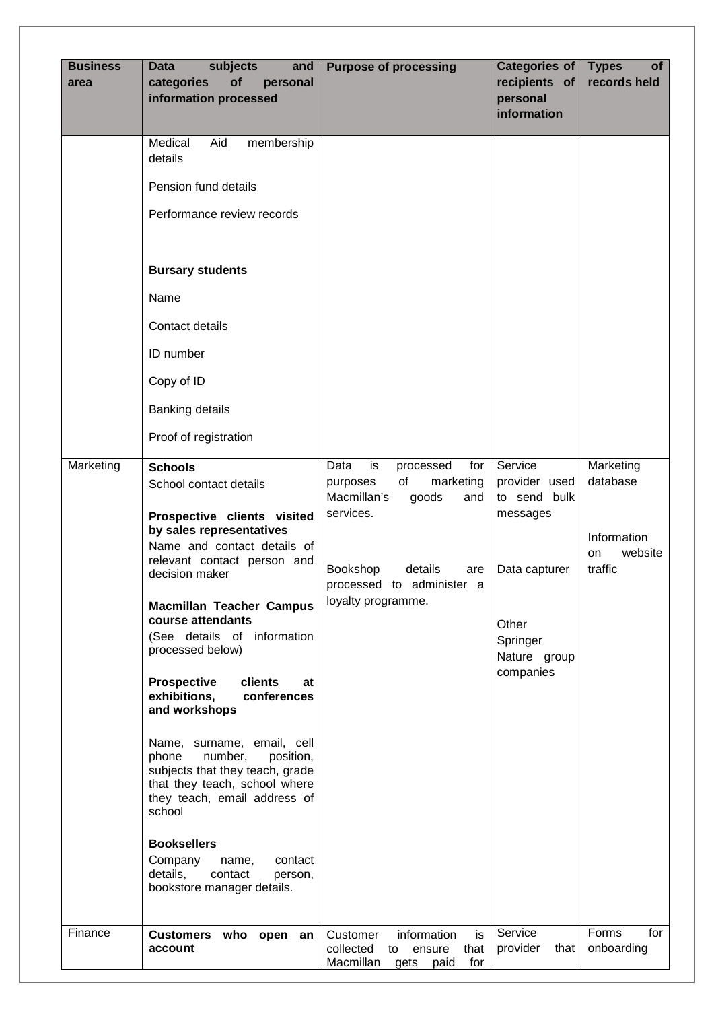| <b>Business</b><br>area | subjects<br>and<br><b>Data</b><br>of<br>categories<br>personal<br>information processed                                                                                                                                                                                                                                                                                                                                                                                                                                                                                                                                                     | <b>Purpose of processing</b>                                                                        | <b>Categories of</b><br>recipients of<br>personal<br>information            | <b>Types</b><br><b>of</b><br>records held |
|-------------------------|---------------------------------------------------------------------------------------------------------------------------------------------------------------------------------------------------------------------------------------------------------------------------------------------------------------------------------------------------------------------------------------------------------------------------------------------------------------------------------------------------------------------------------------------------------------------------------------------------------------------------------------------|-----------------------------------------------------------------------------------------------------|-----------------------------------------------------------------------------|-------------------------------------------|
|                         | Medical<br>Aid<br>membership<br>details                                                                                                                                                                                                                                                                                                                                                                                                                                                                                                                                                                                                     |                                                                                                     |                                                                             |                                           |
|                         | Pension fund details                                                                                                                                                                                                                                                                                                                                                                                                                                                                                                                                                                                                                        |                                                                                                     |                                                                             |                                           |
|                         | Performance review records                                                                                                                                                                                                                                                                                                                                                                                                                                                                                                                                                                                                                  |                                                                                                     |                                                                             |                                           |
|                         | <b>Bursary students</b>                                                                                                                                                                                                                                                                                                                                                                                                                                                                                                                                                                                                                     |                                                                                                     |                                                                             |                                           |
|                         | Name                                                                                                                                                                                                                                                                                                                                                                                                                                                                                                                                                                                                                                        |                                                                                                     |                                                                             |                                           |
|                         | Contact details                                                                                                                                                                                                                                                                                                                                                                                                                                                                                                                                                                                                                             |                                                                                                     |                                                                             |                                           |
|                         | ID number                                                                                                                                                                                                                                                                                                                                                                                                                                                                                                                                                                                                                                   |                                                                                                     |                                                                             |                                           |
|                         | Copy of ID                                                                                                                                                                                                                                                                                                                                                                                                                                                                                                                                                                                                                                  |                                                                                                     |                                                                             |                                           |
|                         | <b>Banking details</b>                                                                                                                                                                                                                                                                                                                                                                                                                                                                                                                                                                                                                      |                                                                                                     |                                                                             |                                           |
|                         | Proof of registration                                                                                                                                                                                                                                                                                                                                                                                                                                                                                                                                                                                                                       |                                                                                                     |                                                                             |                                           |
| Marketing               | <b>Schools</b><br>School contact details                                                                                                                                                                                                                                                                                                                                                                                                                                                                                                                                                                                                    | is<br>Data<br>processed<br>for<br>of<br>marketing<br>purposes<br>Macmillan's<br>goods<br>and        | Service<br>provider used<br>to send bulk                                    | Marketing<br>database                     |
|                         | Prospective clients visited<br>by sales representatives<br>Name and contact details of<br>relevant contact person and<br>decision maker<br><b>Macmillan Teacher Campus</b><br>course attendants<br>(See details of information<br>processed below)<br><b>Prospective</b><br>clients<br>at<br>exhibitions,<br>conferences<br>and workshops<br>Name, surname, email, cell<br>phone<br>number,<br>position,<br>subjects that they teach, grade<br>that they teach, school where<br>they teach, email address of<br>school<br><b>Booksellers</b><br>Company<br>contact<br>name,<br>details,<br>contact<br>person,<br>bookstore manager details. | services.<br>details<br>Bookshop<br>are<br>processed to administer a<br>loyalty programme.          | messages<br>Data capturer<br>Other<br>Springer<br>Nature group<br>companies | Information<br>website<br>on<br>traffic   |
| Finance                 | Customers who open an<br>account                                                                                                                                                                                                                                                                                                                                                                                                                                                                                                                                                                                                            | Customer<br>information<br>is<br>collected<br>ensure<br>that<br>to<br>Macmillan gets<br>for<br>paid | Service<br>provider<br>that                                                 | Forms<br>for<br>onboarding                |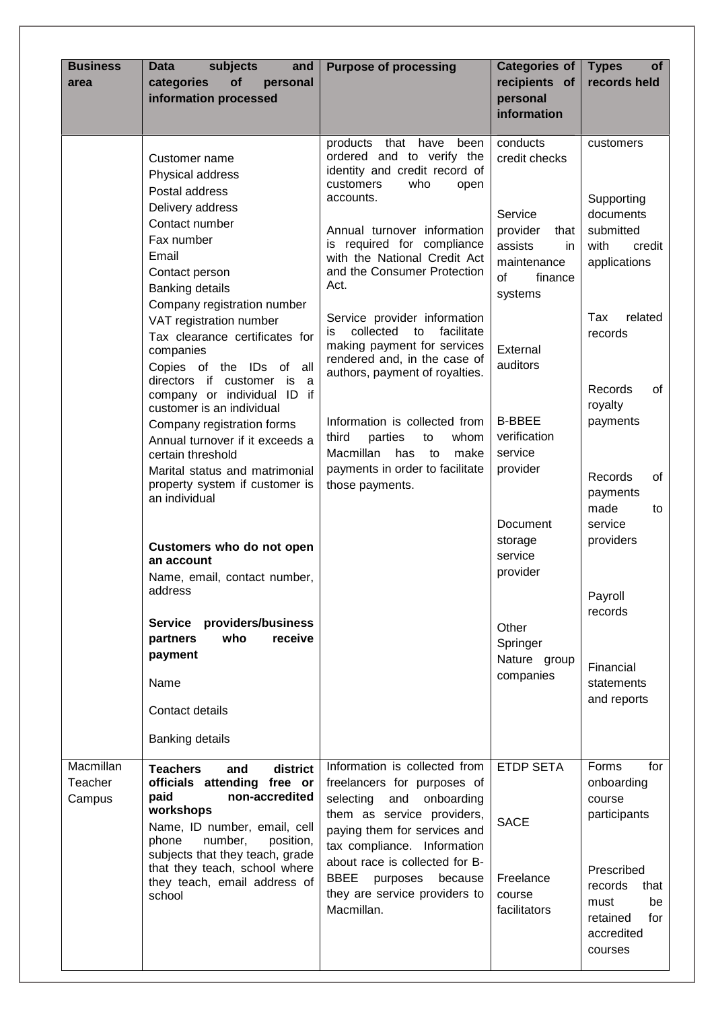| <b>Business</b><br>area        | subjects<br><b>Data</b><br>and<br>of<br>categories<br>personal<br>information processed                                                                                                                                                                                                                                                                                                                                                                                                                                                                                                                                                                                                                                                                                              | <b>Purpose of processing</b>                                                                                                                                                                                                                                                                                                                                                                                                                                                                                                                                                                                    | <b>Categories of</b><br>recipients of<br>personal<br>information                                                                                                                                                                                                                                             | <b>Types</b><br><b>of</b><br>records held                                                                                                                                                                                                                                                   |
|--------------------------------|--------------------------------------------------------------------------------------------------------------------------------------------------------------------------------------------------------------------------------------------------------------------------------------------------------------------------------------------------------------------------------------------------------------------------------------------------------------------------------------------------------------------------------------------------------------------------------------------------------------------------------------------------------------------------------------------------------------------------------------------------------------------------------------|-----------------------------------------------------------------------------------------------------------------------------------------------------------------------------------------------------------------------------------------------------------------------------------------------------------------------------------------------------------------------------------------------------------------------------------------------------------------------------------------------------------------------------------------------------------------------------------------------------------------|--------------------------------------------------------------------------------------------------------------------------------------------------------------------------------------------------------------------------------------------------------------------------------------------------------------|---------------------------------------------------------------------------------------------------------------------------------------------------------------------------------------------------------------------------------------------------------------------------------------------|
|                                | Customer name<br>Physical address<br>Postal address<br>Delivery address<br>Contact number<br>Fax number<br>Email<br>Contact person<br>Banking details<br>Company registration number<br>VAT registration number<br>Tax clearance certificates for<br>companies<br>Copies of the IDs of all<br>directors if customer is<br>a<br>company or individual ID if<br>customer is an individual<br>Company registration forms<br>Annual turnover if it exceeds a<br>certain threshold<br>Marital status and matrimonial<br>property system if customer is<br>an individual<br>Customers who do not open<br>an account<br>Name, email, contact number,<br>address<br>Service providers/business<br>who<br>receive<br>partners<br>payment<br>Name<br>Contact details<br><b>Banking details</b> | products<br>that have<br>been<br>ordered and to verify the<br>identity and credit record of<br>customers<br>who<br>open<br>accounts.<br>Annual turnover information<br>required for compliance<br>İS.<br>with the National Credit Act<br>and the Consumer Protection<br>Act.<br>Service provider information<br>collected<br>facilitate<br>is<br>to<br>making payment for services<br>rendered and, in the case of<br>authors, payment of royalties.<br>Information is collected from<br>third<br>parties<br>whom<br>to<br>Macmillan<br>has<br>to<br>make<br>payments in order to facilitate<br>those payments. | conducts<br>credit checks<br>Service<br>provider<br>that<br>assists<br>in.<br>maintenance<br><b>of</b><br>finance<br>systems<br>External<br>auditors<br><b>B-BBEE</b><br>verification<br>service<br>provider<br>Document<br>storage<br>service<br>provider<br>Other<br>Springer<br>Nature group<br>companies | customers<br>Supporting<br>documents<br>submitted<br>with<br>credit<br>applications<br>Tax<br>related<br>records<br>Records<br>of<br>royalty<br>payments<br>Records<br>οf<br>payments<br>made<br>to<br>service<br>providers<br>Payroll<br>records<br>Financial<br>statements<br>and reports |
| Macmillan<br>Teacher<br>Campus | <b>Teachers</b><br>district<br>and<br>officials attending free or<br>non-accredited<br>paid<br>workshops<br>Name, ID number, email, cell<br>phone<br>number,<br>position,<br>subjects that they teach, grade<br>that they teach, school where<br>they teach, email address of<br>school                                                                                                                                                                                                                                                                                                                                                                                                                                                                                              | Information is collected from<br>freelancers for purposes of<br>selecting<br>and<br>onboarding<br>them as service providers,<br>paying them for services and<br>tax compliance. Information<br>about race is collected for B-<br>BBEE<br>purposes<br>because<br>they are service providers to<br>Macmillan.                                                                                                                                                                                                                                                                                                     | <b>ETDP SETA</b><br><b>SACE</b><br>Freelance<br>course<br>facilitators                                                                                                                                                                                                                                       | for<br>Forms<br>onboarding<br>course<br>participants<br>Prescribed<br>records<br>that<br>must<br>be<br>for<br>retained<br>accredited<br>courses                                                                                                                                             |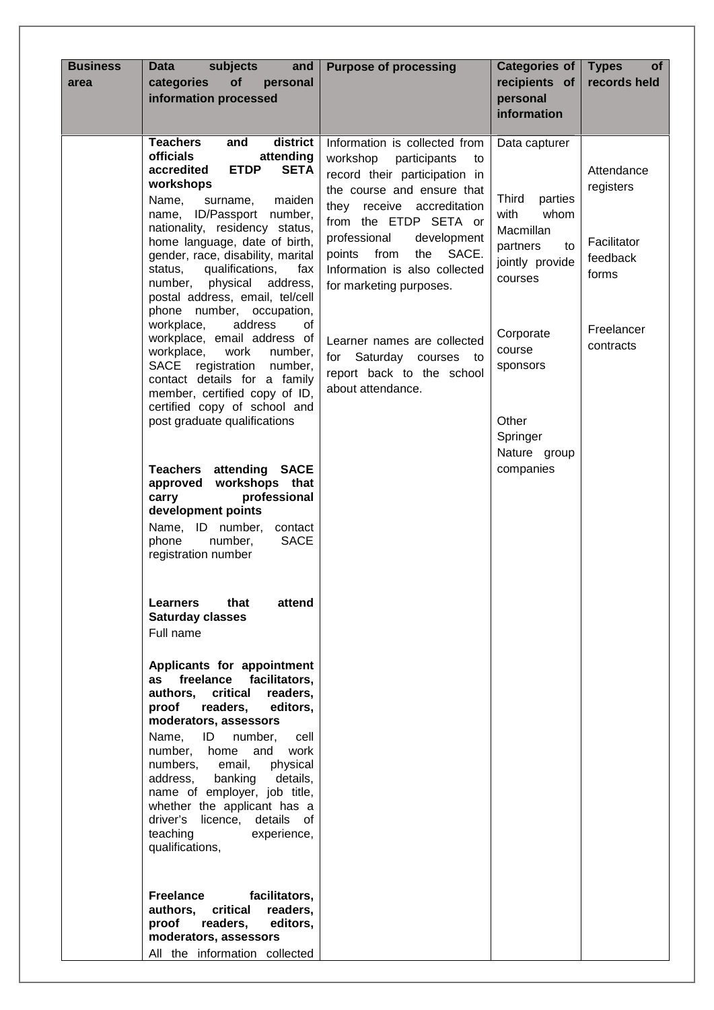| <b>Business</b><br>area | subjects<br>and<br><b>Data</b><br>of<br>categories<br>personal<br>information processed                                                                                                                                                                                                                                                                                                                                             | <b>Purpose of processing</b>                                                                                                                                                                                                                                                         | <b>Categories of</b><br>recipients of<br>personal<br>information                                    | <b>Types</b><br><b>of</b><br>records held          |
|-------------------------|-------------------------------------------------------------------------------------------------------------------------------------------------------------------------------------------------------------------------------------------------------------------------------------------------------------------------------------------------------------------------------------------------------------------------------------|--------------------------------------------------------------------------------------------------------------------------------------------------------------------------------------------------------------------------------------------------------------------------------------|-----------------------------------------------------------------------------------------------------|----------------------------------------------------|
|                         | district<br><b>Teachers</b><br>and<br><b>officials</b><br>attending<br><b>ETDP</b><br>accredited<br><b>SETA</b><br>workshops<br>Name,<br>maiden<br>surname,<br>ID/Passport number,<br>name,<br>nationality, residency status,<br>home language, date of birth,<br>gender, race, disability, marital<br>qualifications,<br>status,<br>fax                                                                                            | Information is collected from<br>workshop<br>participants<br>to<br>record their participation in<br>the course and ensure that<br>they receive accreditation<br>from the ETDP SETA or<br>professional<br>development<br>SACE.<br>points from<br>the<br>Information is also collected | Data capturer<br>Third<br>parties<br>whom<br>with<br>Macmillan<br>partners<br>to<br>jointly provide | Attendance<br>registers<br>Facilitator<br>feedback |
|                         | number,<br>physical<br>address,<br>postal address, email, tel/cell<br>phone number, occupation,<br>workplace,<br>address<br>of<br>workplace, email address of<br>workplace,<br>work<br>number,<br>SACE registration<br>number,<br>contact details for a family<br>member, certified copy of ID,<br>certified copy of school and<br>post graduate qualifications                                                                     | for marketing purposes.<br>Learner names are collected<br>Saturday courses to<br>for<br>report back to the school<br>about attendance.                                                                                                                                               | courses<br>Corporate<br>course<br>sponsors<br>Other<br>Springer                                     | forms<br>Freelancer<br>contracts                   |
|                         | <b>Teachers attending SACE</b><br>approved workshops that<br>professional<br>carry<br>development points<br>Name, ID number, contact<br>number,<br><b>SACE</b><br>phone<br>registration number                                                                                                                                                                                                                                      |                                                                                                                                                                                                                                                                                      | Nature group<br>companies                                                                           |                                                    |
|                         | that<br><b>Learners</b><br>attend<br><b>Saturday classes</b><br>Full name                                                                                                                                                                                                                                                                                                                                                           |                                                                                                                                                                                                                                                                                      |                                                                                                     |                                                    |
|                         | Applicants for appointment<br>freelance facilitators,<br>as<br>authors. critical<br>readers,<br>readers,<br>proof<br>editors,<br>moderators, assessors<br>Name, ID<br>number,<br>cell<br>number, home and<br>work<br>numbers, email,<br>physical<br>address,<br>banking<br>details,<br>name of employer, job title,<br>whether the applicant has a<br>driver's<br>licence, details of<br>teaching<br>experience,<br>qualifications, |                                                                                                                                                                                                                                                                                      |                                                                                                     |                                                    |
|                         | <b>Freelance</b><br>facilitators,<br>authors,<br>critical<br>readers,<br>proof<br>readers,<br>editors,<br>moderators, assessors<br>All the information collected                                                                                                                                                                                                                                                                    |                                                                                                                                                                                                                                                                                      |                                                                                                     |                                                    |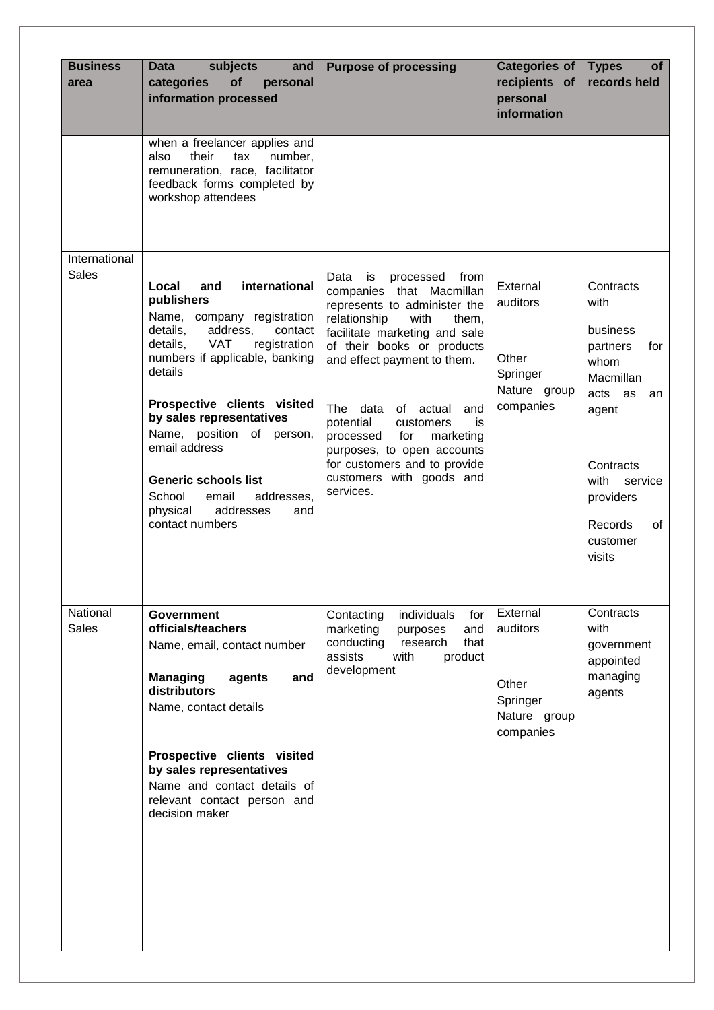| <b>Business</b><br>area       | subjects<br>and<br><b>Data</b><br>of<br>categories<br>personal<br>information processed                                                                                                                                                                                                                                                                                                                                         | <b>Purpose of processing</b>                                                                                                                                                                                                                                                                                                                                                                                                    | Categories of<br>recipients of<br>personal<br>information              | <b>Types</b><br><b>of</b><br>records held                                                                                                                                           |
|-------------------------------|---------------------------------------------------------------------------------------------------------------------------------------------------------------------------------------------------------------------------------------------------------------------------------------------------------------------------------------------------------------------------------------------------------------------------------|---------------------------------------------------------------------------------------------------------------------------------------------------------------------------------------------------------------------------------------------------------------------------------------------------------------------------------------------------------------------------------------------------------------------------------|------------------------------------------------------------------------|-------------------------------------------------------------------------------------------------------------------------------------------------------------------------------------|
|                               | when a freelancer applies and<br>their<br>also<br>number,<br>tax<br>remuneration, race, facilitator<br>feedback forms completed by<br>workshop attendees                                                                                                                                                                                                                                                                        |                                                                                                                                                                                                                                                                                                                                                                                                                                 |                                                                        |                                                                                                                                                                                     |
| International<br><b>Sales</b> | international<br>Local<br>and<br>publishers<br>Name, company registration<br>details,<br>address,<br>contact<br>details,<br><b>VAT</b><br>registration<br>numbers if applicable, banking<br>details<br>Prospective clients visited<br>by sales representatives<br>Name, position of person,<br>email address<br><b>Generic schools list</b><br>School<br>email<br>addresses,<br>physical<br>addresses<br>and<br>contact numbers | Data<br>is<br>processed<br>from<br>companies that Macmillan<br>represents to administer the<br>relationship<br>with<br>them,<br>facilitate marketing and sale<br>of their books or products<br>and effect payment to them.<br>The data of actual<br>and<br>potential<br>customers<br>is<br>for<br>processed<br>marketing<br>purposes, to open accounts<br>for customers and to provide<br>customers with goods and<br>services. | External<br>auditors<br>Other<br>Springer<br>Nature group<br>companies | Contracts<br>with<br>business<br>for<br>partners<br>whom<br>Macmillan<br>acts as<br>an<br>agent<br>Contracts<br>with<br>service<br>providers<br>Records<br>of<br>customer<br>visits |
| National<br><b>Sales</b>      | <b>Government</b><br>officials/teachers<br>Name, email, contact number<br><b>Managing</b><br>and<br>agents<br>distributors<br>Name, contact details<br>Prospective clients visited<br>by sales representatives<br>Name and contact details of<br>relevant contact person and<br>decision maker                                                                                                                                  | Contacting<br>individuals<br>for<br>marketing<br>and<br>purposes<br>that<br>conducting<br>research<br>assists<br>with<br>product<br>development                                                                                                                                                                                                                                                                                 | External<br>auditors<br>Other<br>Springer<br>Nature group<br>companies | Contracts<br>with<br>government<br>appointed<br>managing<br>agents                                                                                                                  |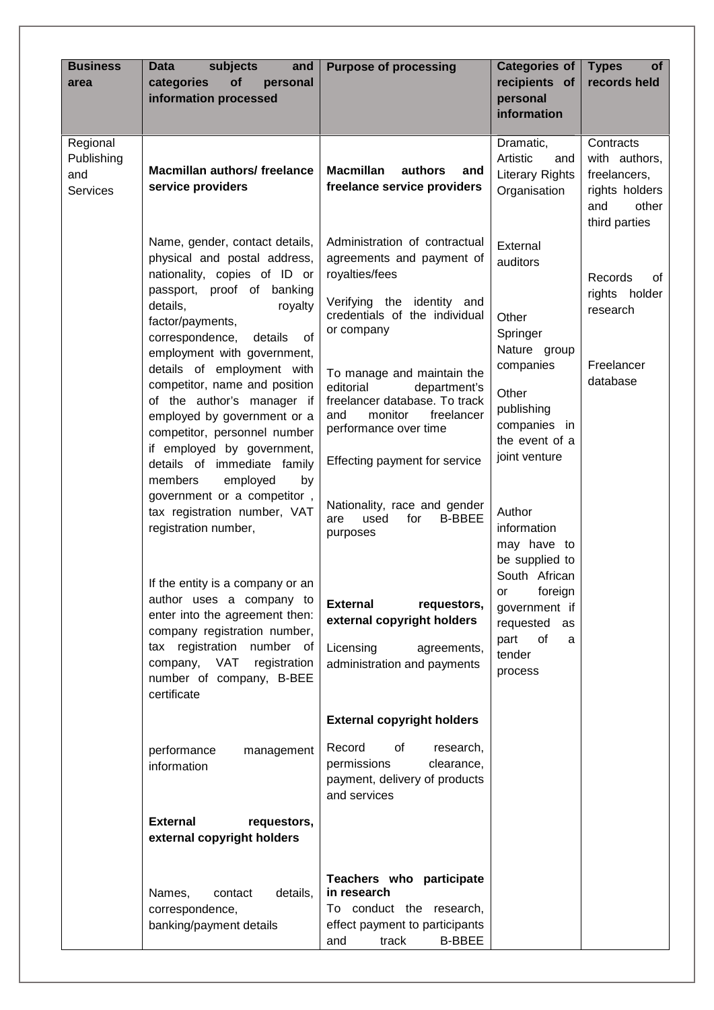| <b>Business</b><br>area                          | subjects<br>and<br><b>Data</b><br>of<br>categories<br>personal<br>information processed                                                                                                                                                                                                                                                                                                                                                                                                                                                                         | <b>Purpose of processing</b>                                                                                                                                                                                                                                                                                                                                                    | <b>Categories of</b><br>recipients of<br>personal<br>information                                                                                           | <b>Types</b><br><b>of</b><br>records held                                                     |
|--------------------------------------------------|-----------------------------------------------------------------------------------------------------------------------------------------------------------------------------------------------------------------------------------------------------------------------------------------------------------------------------------------------------------------------------------------------------------------------------------------------------------------------------------------------------------------------------------------------------------------|---------------------------------------------------------------------------------------------------------------------------------------------------------------------------------------------------------------------------------------------------------------------------------------------------------------------------------------------------------------------------------|------------------------------------------------------------------------------------------------------------------------------------------------------------|-----------------------------------------------------------------------------------------------|
| Regional<br>Publishing<br>and<br><b>Services</b> | <b>Macmillan authors/ freelance</b><br>service providers                                                                                                                                                                                                                                                                                                                                                                                                                                                                                                        | <b>Macmillan</b><br>authors<br>and<br>freelance service providers                                                                                                                                                                                                                                                                                                               | Dramatic,<br>Artistic<br>and<br><b>Literary Rights</b><br>Organisation                                                                                     | Contracts<br>with authors,<br>freelancers,<br>rights holders<br>other<br>and<br>third parties |
|                                                  | Name, gender, contact details,<br>physical and postal address,<br>nationality, copies of ID or<br>passport, proof of banking<br>details,<br>royalty<br>factor/payments,<br>correspondence,<br>of<br>details<br>employment with government,<br>details of employment with<br>competitor, name and position<br>of the author's manager if<br>employed by government or a<br>competitor, personnel number<br>if employed by government,<br>details of immediate family<br>employed<br>members<br>by<br>government or a competitor,<br>tax registration number, VAT | Administration of contractual<br>agreements and payment of<br>royalties/fees<br>Verifying the identity and<br>credentials of the individual<br>or company<br>To manage and maintain the<br>editorial<br>department's<br>freelancer database. To track<br>and<br>monitor<br>freelancer<br>performance over time<br>Effecting payment for service<br>Nationality, race and gender | External<br>auditors<br>Other<br>Springer<br>Nature group<br>companies<br>Other<br>publishing<br>companies in<br>the event of a<br>joint venture<br>Author | Records<br>of<br>rights holder<br>research<br>Freelancer<br>database                          |
|                                                  | registration number,<br>If the entity is a company or an<br>author uses a company to<br>enter into the agreement then:<br>company registration number,<br>tax registration number of<br>company,<br>VAT<br>registration<br>number of company, B-BEE<br>certificate                                                                                                                                                                                                                                                                                              | <b>B-BBEE</b><br>used<br>for<br>are<br>purposes<br><b>External</b><br>requestors,<br>external copyright holders<br>Licensing<br>agreements,<br>administration and payments                                                                                                                                                                                                      | information<br>may have to<br>be supplied to<br>South African<br>foreign<br>or<br>government if<br>requested<br>as<br>of<br>part<br>a<br>tender<br>process |                                                                                               |
|                                                  | performance<br>management<br>information<br><b>External</b><br>requestors,                                                                                                                                                                                                                                                                                                                                                                                                                                                                                      | <b>External copyright holders</b><br>Record<br>0f<br>research,<br>permissions<br>clearance,<br>payment, delivery of products<br>and services                                                                                                                                                                                                                                    |                                                                                                                                                            |                                                                                               |
|                                                  | external copyright holders<br>details,<br>Names,<br>contact<br>correspondence,<br>banking/payment details                                                                                                                                                                                                                                                                                                                                                                                                                                                       | Teachers who participate<br>in research<br>To conduct the research,<br>effect payment to participants<br><b>B-BBEE</b><br>and<br>track                                                                                                                                                                                                                                          |                                                                                                                                                            |                                                                                               |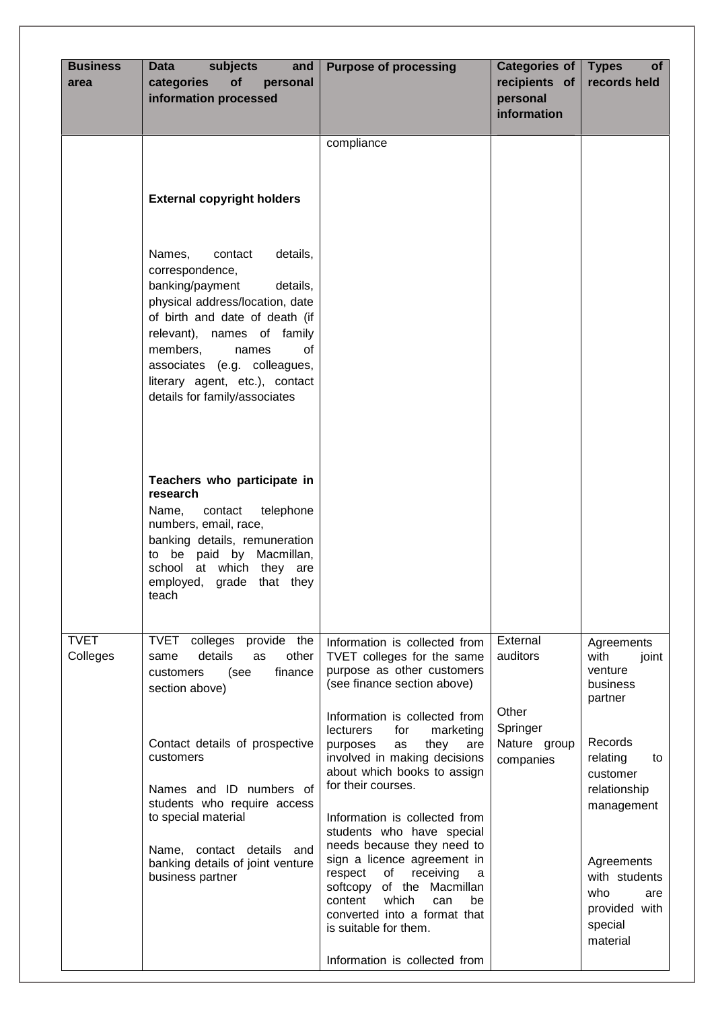| <b>Business</b><br>area | <b>Data</b><br>subjects<br>and<br>of<br>categories<br>personal<br>information processed                                                                                                                                                                                                                                                               | <b>Purpose of processing</b>                                                                                                                                                                                                                                                                                                                                                                                                                                                                                                                                                                                                                  | <b>Categories of</b><br>recipients of<br>personal<br>information       | <b>Types</b><br>of<br>records held                                                                                                                                                                                        |
|-------------------------|-------------------------------------------------------------------------------------------------------------------------------------------------------------------------------------------------------------------------------------------------------------------------------------------------------------------------------------------------------|-----------------------------------------------------------------------------------------------------------------------------------------------------------------------------------------------------------------------------------------------------------------------------------------------------------------------------------------------------------------------------------------------------------------------------------------------------------------------------------------------------------------------------------------------------------------------------------------------------------------------------------------------|------------------------------------------------------------------------|---------------------------------------------------------------------------------------------------------------------------------------------------------------------------------------------------------------------------|
|                         | <b>External copyright holders</b><br>Names,<br>details,<br>contact<br>correspondence,<br>banking/payment<br>details,<br>physical address/location, date<br>of birth and date of death (if<br>relevant), names of family<br>members,<br>of<br>names<br>associates (e.g. colleagues,<br>literary agent, etc.), contact<br>details for family/associates | compliance                                                                                                                                                                                                                                                                                                                                                                                                                                                                                                                                                                                                                                    |                                                                        |                                                                                                                                                                                                                           |
|                         | Teachers who participate in<br>research<br>contact<br>telephone<br>Name,<br>numbers, email, race,<br>banking details, remuneration<br>to be paid by Macmillan,<br>school at which they<br>are<br>employed, grade that they<br>teach                                                                                                                   |                                                                                                                                                                                                                                                                                                                                                                                                                                                                                                                                                                                                                                               |                                                                        |                                                                                                                                                                                                                           |
| <b>TVET</b><br>Colleges | TVET<br>colleges provide the<br>details<br>other<br>as<br>same<br>finance<br>customers<br>(see<br>section above)<br>Contact details of prospective<br>customers<br>Names and ID numbers of<br>students who require access<br>to special material<br>Name, contact details and<br>banking details of joint venture<br>business partner                 | Information is collected from<br>TVET colleges for the same<br>purpose as other customers<br>(see finance section above)<br>Information is collected from<br><b>lecturers</b><br>for<br>marketing<br>they<br>purposes<br>as<br>are<br>involved in making decisions<br>about which books to assign<br>for their courses.<br>Information is collected from<br>students who have special<br>needs because they need to<br>sign a licence agreement in<br>respect<br>receiving<br>of<br>a<br>softcopy of the Macmillan<br>which<br>content<br>can<br>be<br>converted into a format that<br>is suitable for them.<br>Information is collected from | External<br>auditors<br>Other<br>Springer<br>Nature group<br>companies | Agreements<br>with<br>joint<br>venture<br>business<br>partner<br>Records<br>relating<br>to<br>customer<br>relationship<br>management<br>Agreements<br>with students<br>who<br>are<br>provided with<br>special<br>material |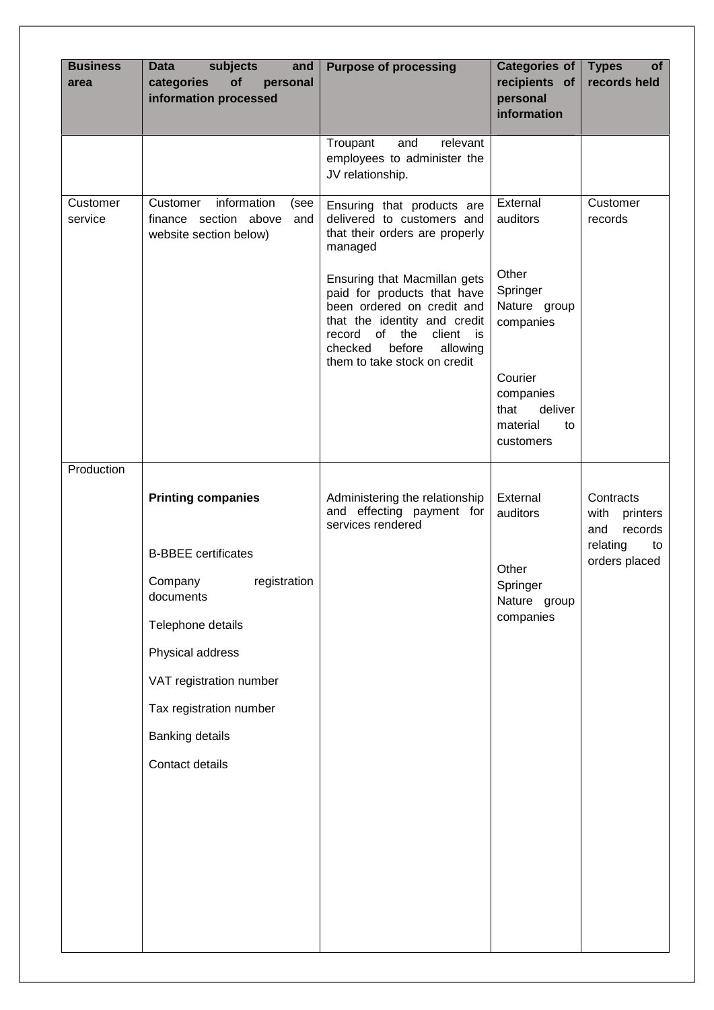| <b>Business</b><br>area | subjects<br>and<br><b>Data</b><br>of<br>categories<br>personal<br>information processed   | <b>Purpose of processing</b>                                                                                                                                                                                          | <b>Categories of</b><br>recipients of<br>personal<br>information       | <b>Types</b><br><b>of</b><br>records held       |
|-------------------------|-------------------------------------------------------------------------------------------|-----------------------------------------------------------------------------------------------------------------------------------------------------------------------------------------------------------------------|------------------------------------------------------------------------|-------------------------------------------------|
|                         |                                                                                           | Troupant<br>and<br>relevant<br>employees to administer the<br>JV relationship.                                                                                                                                        |                                                                        |                                                 |
| Customer<br>service     | information<br>Customer<br>(see<br>finance section above<br>and<br>website section below) | Ensuring that products are<br>delivered to customers and<br>that their orders are properly<br>managed                                                                                                                 | External<br>auditors<br>Other                                          | Customer<br>records                             |
|                         |                                                                                           | Ensuring that Macmillan gets<br>paid for products that have<br>been ordered on credit and<br>that the identity and credit<br>record of the client is<br>checked<br>before<br>allowing<br>them to take stock on credit | Springer<br>Nature group<br>companies                                  |                                                 |
|                         |                                                                                           |                                                                                                                                                                                                                       | Courier<br>companies<br>deliver<br>that<br>material<br>to<br>customers |                                                 |
| Production              |                                                                                           |                                                                                                                                                                                                                       |                                                                        |                                                 |
|                         | <b>Printing companies</b>                                                                 | Administering the relationship<br>and effecting payment for<br>services rendered                                                                                                                                      | External<br>auditors                                                   | Contracts<br>with<br>printers<br>records<br>and |
|                         | <b>B-BBEE</b> certificates                                                                |                                                                                                                                                                                                                       |                                                                        | relating<br>to<br>orders placed                 |
|                         | registration<br>Company<br>documents                                                      |                                                                                                                                                                                                                       | Other<br>Springer<br>Nature group                                      |                                                 |
|                         | Telephone details                                                                         |                                                                                                                                                                                                                       | companies                                                              |                                                 |
|                         | Physical address                                                                          |                                                                                                                                                                                                                       |                                                                        |                                                 |
|                         | VAT registration number                                                                   |                                                                                                                                                                                                                       |                                                                        |                                                 |
|                         | Tax registration number                                                                   |                                                                                                                                                                                                                       |                                                                        |                                                 |
|                         | Banking details                                                                           |                                                                                                                                                                                                                       |                                                                        |                                                 |
|                         | Contact details                                                                           |                                                                                                                                                                                                                       |                                                                        |                                                 |
|                         |                                                                                           |                                                                                                                                                                                                                       |                                                                        |                                                 |
|                         |                                                                                           |                                                                                                                                                                                                                       |                                                                        |                                                 |
|                         |                                                                                           |                                                                                                                                                                                                                       |                                                                        |                                                 |
|                         |                                                                                           |                                                                                                                                                                                                                       |                                                                        |                                                 |
|                         |                                                                                           |                                                                                                                                                                                                                       |                                                                        |                                                 |
|                         |                                                                                           |                                                                                                                                                                                                                       |                                                                        |                                                 |
|                         |                                                                                           |                                                                                                                                                                                                                       |                                                                        |                                                 |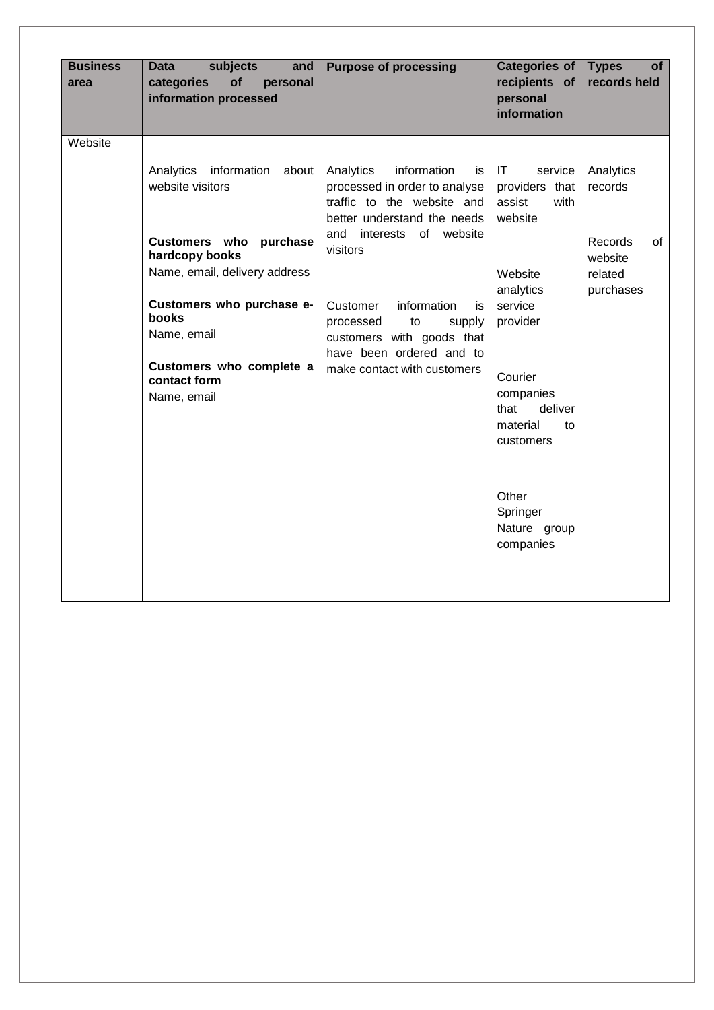| <b>Business</b><br>area | <b>Data</b><br>subjects<br>and<br>of<br>categories<br>personal<br>information processed                                                                                                                                                                   | <b>Purpose of processing</b>                                                                                                                                                                                                                                                                                               | <b>Categories of</b><br>recipients of<br>personal<br>information                                                                                                                                                                        | <b>Types</b><br>οf<br>records held                                              |
|-------------------------|-----------------------------------------------------------------------------------------------------------------------------------------------------------------------------------------------------------------------------------------------------------|----------------------------------------------------------------------------------------------------------------------------------------------------------------------------------------------------------------------------------------------------------------------------------------------------------------------------|-----------------------------------------------------------------------------------------------------------------------------------------------------------------------------------------------------------------------------------------|---------------------------------------------------------------------------------|
| Website                 | Analytics<br>information<br>about<br>website visitors<br>Customers who purchase<br>hardcopy books<br>Name, email, delivery address<br>Customers who purchase e-<br><b>books</b><br>Name, email<br>Customers who complete a<br>contact form<br>Name, email | Analytics<br>information<br>is<br>processed in order to analyse<br>traffic to the website and<br>better understand the needs<br>and interests of website<br>visitors<br>information<br>Customer<br>is<br>processed<br>supply<br>to<br>customers with goods that<br>have been ordered and to<br>make contact with customers | IT<br>service<br>providers that<br>assist<br>with<br>website<br>Website<br>analytics<br>service<br>provider<br>Courier<br>companies<br>deliver<br>that<br>material<br>to<br>customers<br>Other<br>Springer<br>Nature group<br>companies | Analytics<br>records<br><b>Records</b><br>οf<br>website<br>related<br>purchases |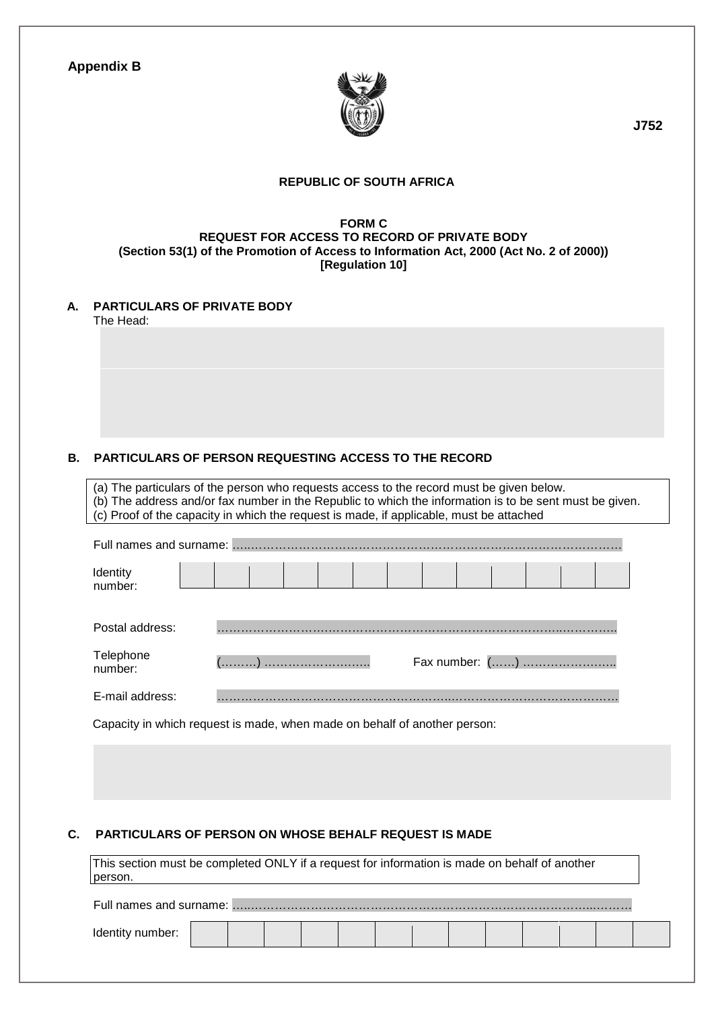|  | <b>Appendix B</b> |  |  |
|--|-------------------|--|--|
|--|-------------------|--|--|



 **J752** 

#### **REPUBLIC OF SOUTH AFRICA**

#### **FORM C REQUEST FOR ACCESS TO RECORD OF PRIVATE BODY (Section 53(1) of the Promotion of Access to Information Act, 2000 (Act No. 2 of 2000)) [Regulation 10]**

**A. PARTICULARS OF PRIVATE BODY**  The Head:

#### **B. PARTICULARS OF PERSON REQUESTING ACCESS TO THE RECORD**

(a) The particulars of the person who requests access to the record must be given below. (b) The address and/or fax number in the Republic to which the information is to be sent must be given. (c) Proof of the capacity in which the request is made, if applicable, must be attached Full names and surname: …..………………………………………………………………………………… Identity number: Postal address: ……………………….…………………………………………………..………….. Telephone<br>number: number: (………) ………………….….. Fax number: (……) ……………….…..

E-mail address: …………………………………………………..……………………………………

Capacity in which request is made, when made on behalf of another person:

#### **C. PARTICULARS OF PERSON ON WHOSE BEHALF REQUEST IS MADE**

This section must be completed ONLY if a request for information is made on behalf of another person.

Full names and surname: …..…………………………………………………………………………...………

Identity number: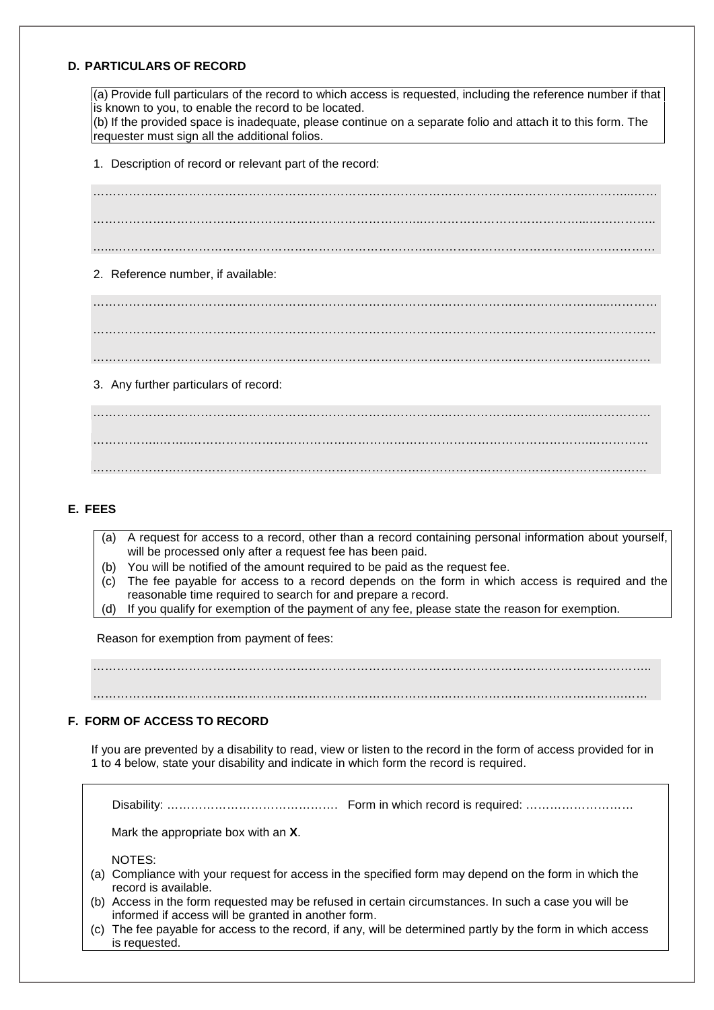#### **D. PARTICULARS OF RECORD**

(a) Provide full particulars of the record to which access is requested, including the reference number if that is known to you, to enable the record to be located.

(b) If the provided space is inadequate, please continue on a separate folio and attach it to this form. The requester must sign all the additional folios.

1. Description of record or relevant part of the record:

…………………………………………………………………………………………………………….………...…… . The contract of the contract of the contract of the contract of the contract of the contract of the contract of the contract of the contract of the contract of the contract of the contract of the contract of the contrac …...……………………………………………………………………..………………………………..……………… 2. Reference number, if available: ………………………………………………………………………………………………………………....………… . The contract of the contract of the contract of the contract of the contract of the contract of the contract of the contract of the contract of the contract of the contract of the contract of the contract of the contrac ………………………………………………………………………………………………………………..………… 3. Any further particulars of record: ……………………………………………………………………………………………………………..…………… ……………..……..……………………………………………………………………………………….……………

#### **E. FEES**

- (a) A request for access to a record, other than a record containing personal information about yourself, will be processed only after a request fee has been paid.
- (b) You will be notified of the amount required to be paid as the request fee.
- (c) The fee payable for access to a record depends on the form in which access is required and the reasonable time required to search for and prepare a record.
- (d) If you qualify for exemption of the payment of any fee, please state the reason for exemption.

………………….………………………………………………………………………………………………………

Reason for exemption from payment of fees:

…………………………………………………………………………………………………………………………..

…………………………………………………………………………………………………………………….……

#### **F. FORM OF ACCESS TO RECORD**

If you are prevented by a disability to read, view or listen to the record in the form of access provided for in 1 to 4 below, state your disability and indicate in which form the record is required.

Disability: ……………………………………. Form in which record is required: ………………………

Mark the appropriate box with an **X**.

NOTES:

- (a) Compliance with your request for access in the specified form may depend on the form in which the record is available.
- (b) Access in the form requested may be refused in certain circumstances. In such a case you will be informed if access will be granted in another form.
- (c) The fee payable for access to the record, if any, will be determined partly by the form in which access is requested.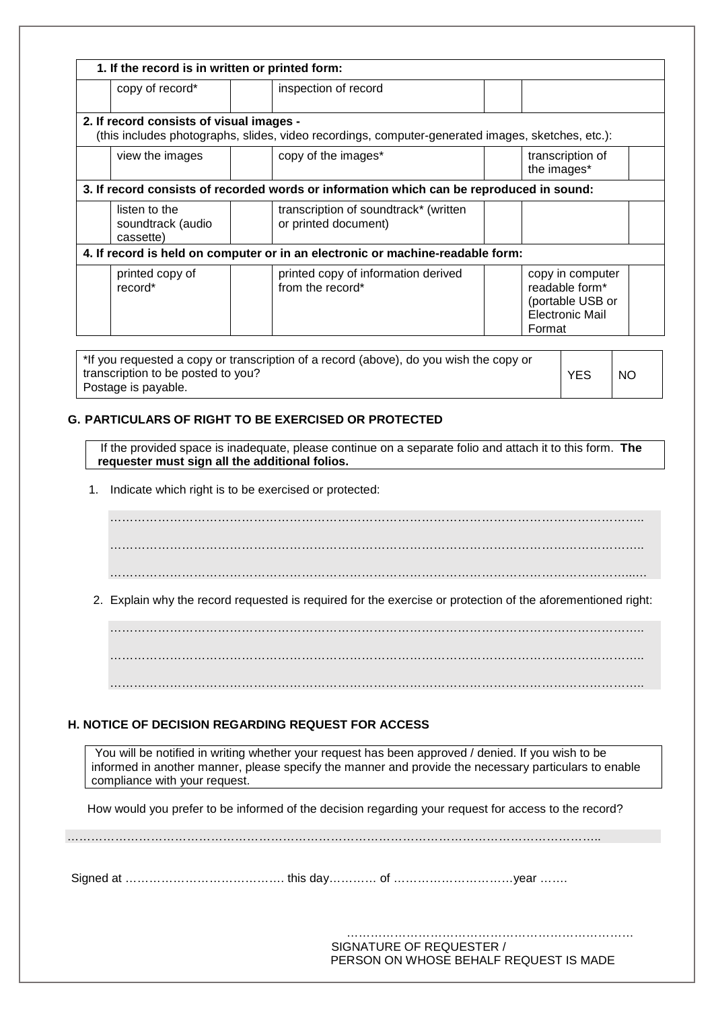| 1. If the record is in written or printed form: |                                                                                                   |                                                                                            |
|-------------------------------------------------|---------------------------------------------------------------------------------------------------|--------------------------------------------------------------------------------------------|
| copy of record*                                 | inspection of record                                                                              |                                                                                            |
| 2. If record consists of visual images -        | (this includes photographs, slides, video recordings, computer-generated images, sketches, etc.): |                                                                                            |
| view the images                                 | copy of the images*                                                                               | transcription of<br>the images*                                                            |
|                                                 | 3. If record consists of recorded words or information which can be reproduced in sound:          |                                                                                            |
| listen to the<br>soundtrack (audio<br>cassette) | transcription of soundtrack* (written<br>or printed document)                                     |                                                                                            |
|                                                 | 4. If record is held on computer or in an electronic or machine-readable form:                    |                                                                                            |
| printed copy of<br>record*                      | printed copy of information derived<br>from the record*                                           | copy in computer<br>readable form*<br>(portable USB or<br><b>Electronic Mail</b><br>Format |

| *If you requested a copy or transcription of a record (above), do you wish the copy or |            |     |
|----------------------------------------------------------------------------------------|------------|-----|
| transcription to be posted to you?                                                     | <b>YES</b> | NC. |
| Postage is payable.                                                                    |            |     |

#### **G. PARTICULARS OF RIGHT TO BE EXERCISED OR PROTECTED**

If the provided space is inadequate, please continue on a separate folio and attach it to this form. **The requester must sign all the additional folios.** 

1. Indicate which right is to be exercised or protected:

…………………………………………………………………………………………………………………….. …………………………………………………………………………………………………………………….. …………………………………………………………………………………………………………………...…

2. Explain why the record requested is required for the exercise or protection of the aforementioned right:

…………………………………………………………………………………………………………………….. …………………………………………………………………………………………………………………….. ……………………………………………………………………………………………………………………..

#### **H. NOTICE OF DECISION REGARDING REQUEST FOR ACCESS**

You will be notified in writing whether your request has been approved / denied. If you wish to be informed in another manner, please specify the manner and provide the necessary particulars to enable compliance with your request.

How would you prefer to be informed of the decision regarding your request for access to the record?

Signed at …………………………………. this day………… of …………………………year …….

…………………………………………… SIGNATURE OF REQUESTER / PERSON ON WHOSE BEHALF REQUEST IS MADE

……………………………………………………………………………………………………………………..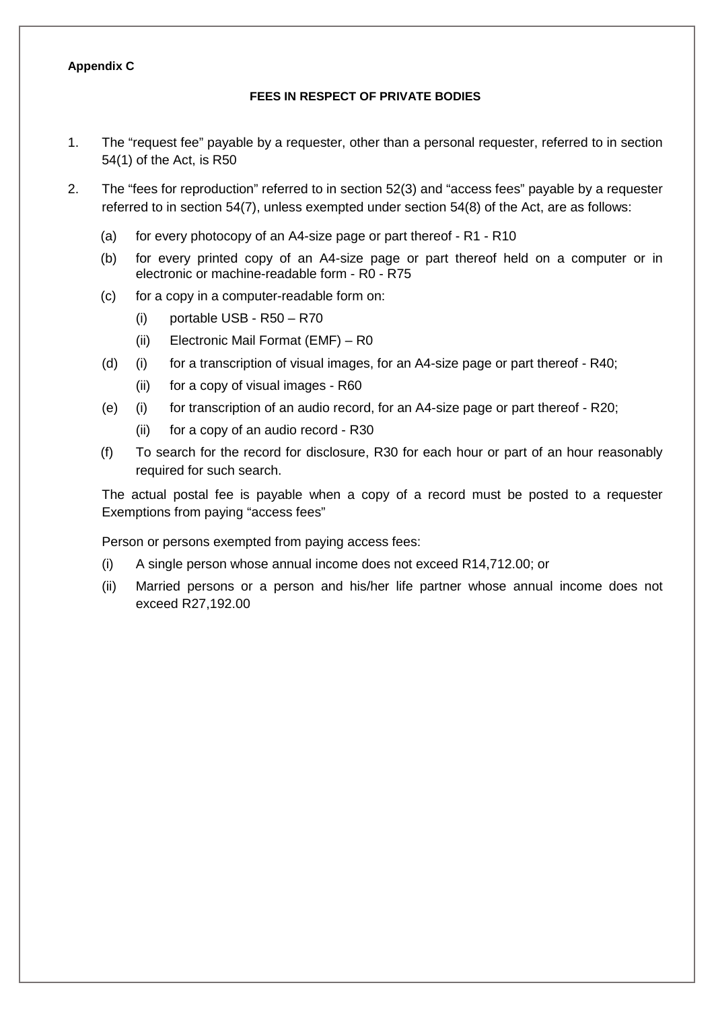#### **Appendix C**

#### **FEES IN RESPECT OF PRIVATE BODIES**

- 1. The "request fee" payable by a requester, other than a personal requester, referred to in section 54(1) of the Act, is R50
- 2. The "fees for reproduction" referred to in section 52(3) and "access fees" payable by a requester referred to in section 54(7), unless exempted under section 54(8) of the Act, are as follows:
	- (a) for every photocopy of an A4-size page or part thereof R1 R10
	- (b) for every printed copy of an A4-size page or part thereof held on a computer or in electronic or machine-readable form - R0 - R75
	- (c) for a copy in a computer-readable form on:
		- (i) portable USB R50 R70
		- (ii) Electronic Mail Format (EMF) R0
	- (d) (i) for a transcription of visual images, for an A4-size page or part thereof R40;
		- (ii) for a copy of visual images R60
	- (e) (i) for transcription of an audio record, for an A4-size page or part thereof R20;
		- (ii) for a copy of an audio record R30
	- (f) To search for the record for disclosure, R30 for each hour or part of an hour reasonably required for such search.

The actual postal fee is payable when a copy of a record must be posted to a requester Exemptions from paying "access fees"

Person or persons exempted from paying access fees:

- (i) A single person whose annual income does not exceed R14,712.00; or
- (ii) Married persons or a person and his/her life partner whose annual income does not exceed R27,192.00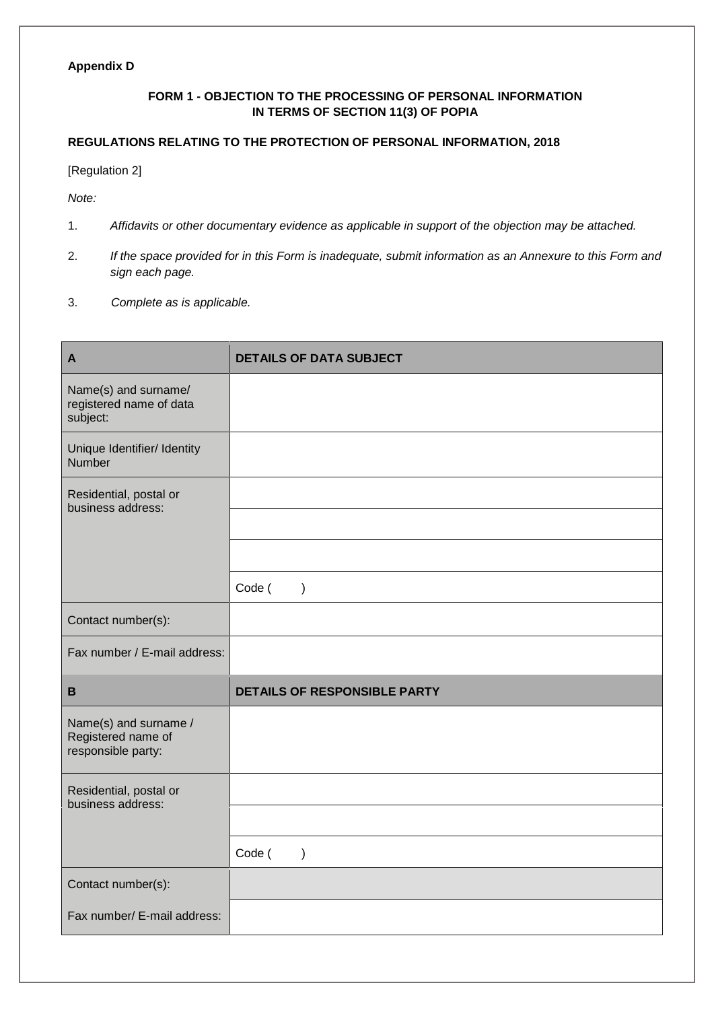#### **Appendix D**

#### **FORM 1 - OBJECTION TO THE PROCESSING OF PERSONAL INFORMATION IN TERMS OF SECTION 11(3) OF POPIA**

#### **REGULATIONS RELATING TO THE PROTECTION OF PERSONAL INFORMATION, 2018**

#### [Regulation 2]

*Note:* 

- 1. *Affidavits or other documentary evidence as applicable in support of the objection may be attached.*
- 2. *If the space provided for in this Form is inadequate, submit information as an Annexure to this Form and sign each page.*
- 3. *Complete as is applicable.*

| $\mathbf{A}$                                                      | <b>DETAILS OF DATA SUBJECT</b>      |
|-------------------------------------------------------------------|-------------------------------------|
| Name(s) and surname/<br>registered name of data<br>subject:       |                                     |
| Unique Identifier/ Identity<br>Number                             |                                     |
| Residential, postal or<br>business address:                       |                                     |
|                                                                   |                                     |
|                                                                   |                                     |
|                                                                   | Code (<br>$\rightarrow$             |
| Contact number(s):                                                |                                     |
| Fax number / E-mail address:                                      |                                     |
| $\, {\bf B}$                                                      | <b>DETAILS OF RESPONSIBLE PARTY</b> |
| Name(s) and surname /<br>Registered name of<br>responsible party: |                                     |
| Residential, postal or<br>business address:                       |                                     |
|                                                                   |                                     |
|                                                                   | Code (<br>$\mathcal{E}$             |
| Contact number(s):                                                |                                     |
| Fax number/ E-mail address:                                       |                                     |
|                                                                   |                                     |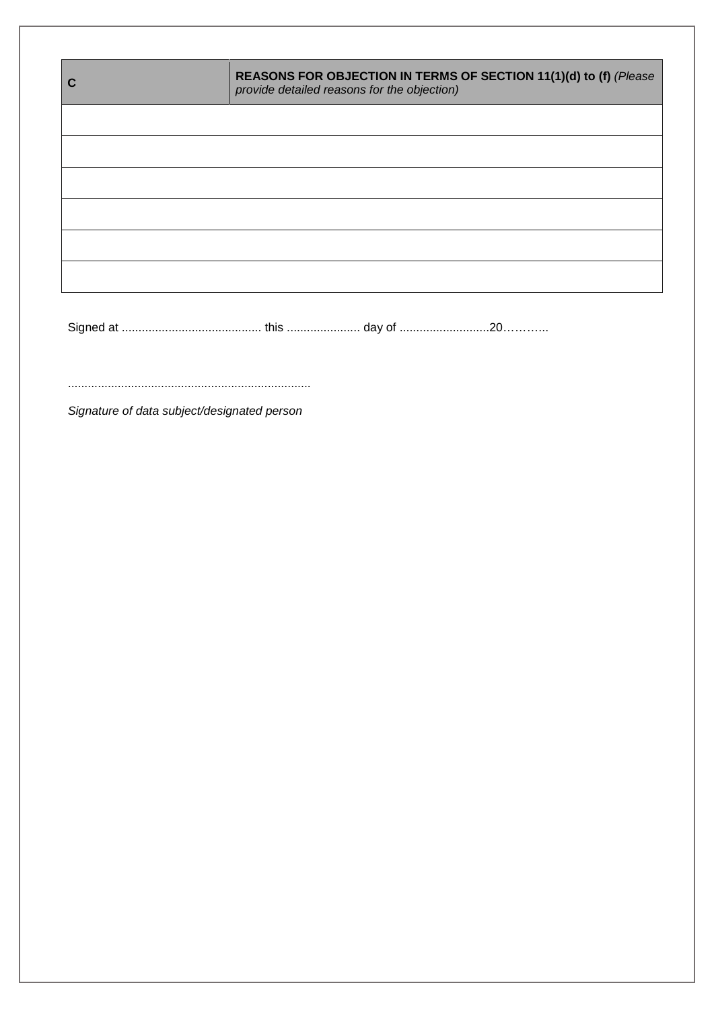| $\mathbf C$ | REASONS FOR OBJECTION IN TERMS OF SECTION 11(1)(d) to (f) (Please<br>provide detailed reasons for the objection) |
|-------------|------------------------------------------------------------------------------------------------------------------|
|             |                                                                                                                  |
|             |                                                                                                                  |
|             |                                                                                                                  |
|             |                                                                                                                  |
|             |                                                                                                                  |
|             |                                                                                                                  |
|             |                                                                                                                  |
|             | Signature of data subject/designated person                                                                      |
|             |                                                                                                                  |
|             |                                                                                                                  |
|             |                                                                                                                  |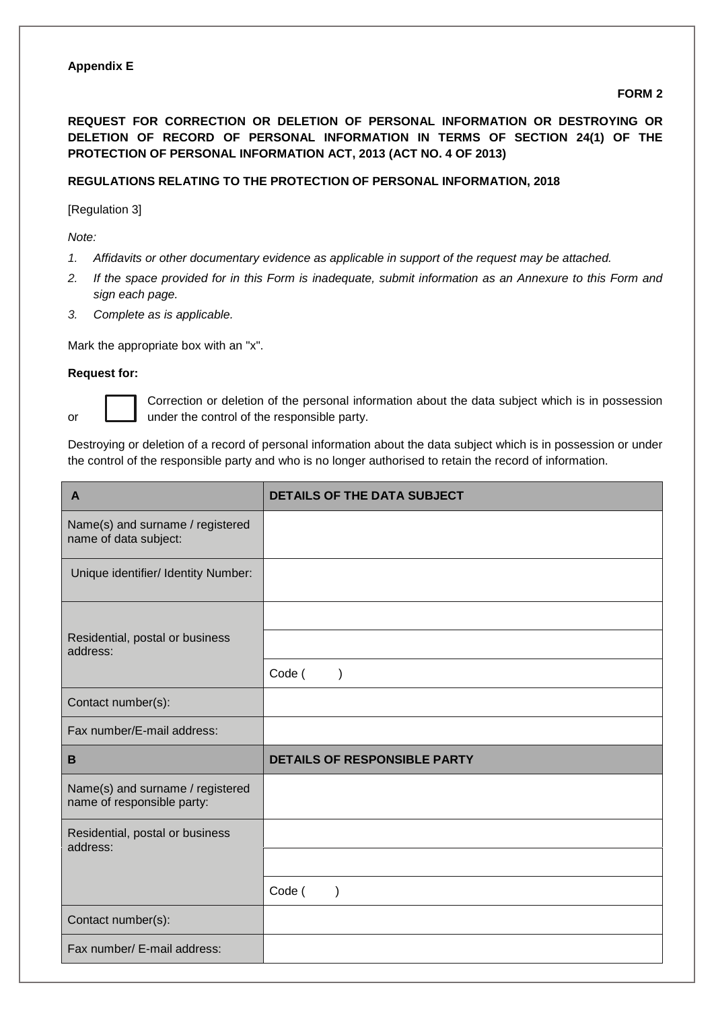#### **Appendix E**

#### **FORM 2**

**REQUEST FOR CORRECTION OR DELETION OF PERSONAL INFORMATION OR DESTROYING OR DELETION OF RECORD OF PERSONAL INFORMATION IN TERMS OF SECTION 24(1) OF THE PROTECTION OF PERSONAL INFORMATION ACT, 2013 (ACT NO. 4 OF 2013)**

#### **REGULATIONS RELATING TO THE PROTECTION OF PERSONAL INFORMATION, 2018**

[Regulation 3]

*Note:* 

- *1. Affidavits or other documentary evidence as applicable in support of the request may be attached.*
- *2. If the space provided for in this Form is inadequate, submit information as an Annexure to this Form and sign each page.*
- *3. Complete as is applicable.*

Mark the appropriate box with an "x".

#### **Request for:**



Correction or deletion of the personal information about the data subject which is in possession or **L** under the control of the responsible party.

Destroying or deletion of a record of personal information about the data subject which is in possession or under the control of the responsible party and who is no longer authorised to retain the record of information.

| $\mathbf{A}$                                                   | <b>DETAILS OF THE DATA SUBJECT</b>  |
|----------------------------------------------------------------|-------------------------------------|
| Name(s) and surname / registered<br>name of data subject:      |                                     |
| Unique identifier/ Identity Number:                            |                                     |
| Residential, postal or business<br>address:                    | Code (<br>$\mathcal{E}$             |
| Contact number(s):                                             |                                     |
| Fax number/E-mail address:                                     |                                     |
| B                                                              | <b>DETAILS OF RESPONSIBLE PARTY</b> |
| Name(s) and surname / registered<br>name of responsible party: |                                     |
| Residential, postal or business<br>address:                    |                                     |
|                                                                |                                     |
|                                                                | Code (                              |
| Contact number(s):                                             |                                     |
| Fax number/ E-mail address:                                    |                                     |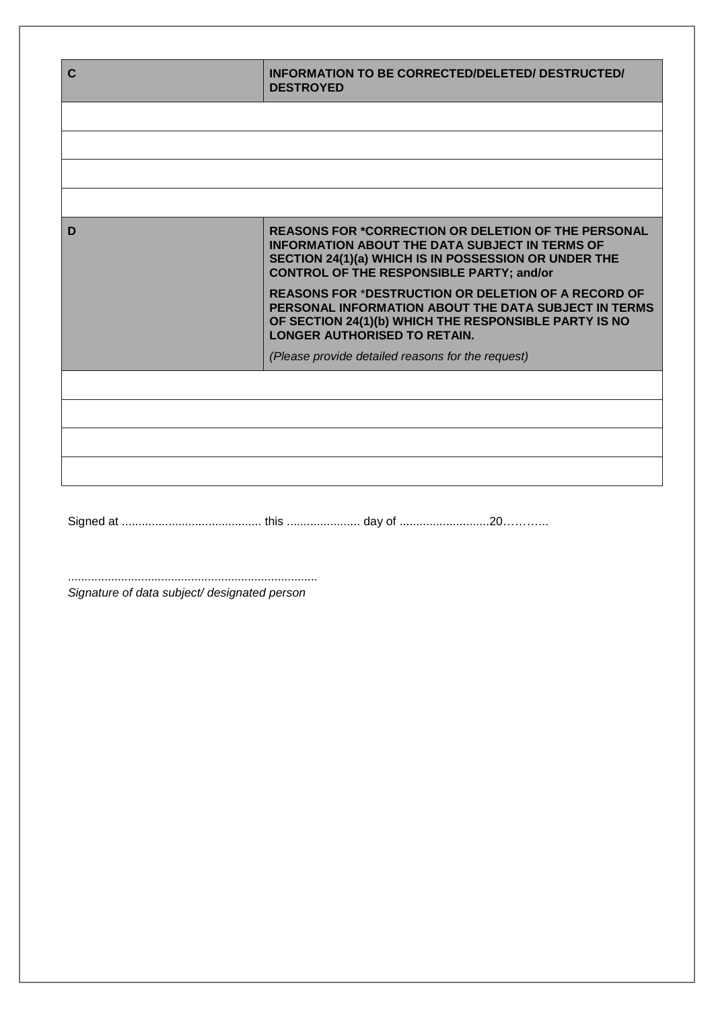| $\mathbf C$                                  | INFORMATION TO BE CORRECTED/DELETED/ DESTRUCTED/<br><b>DESTROYED</b>                                                                                                                                                           |
|----------------------------------------------|--------------------------------------------------------------------------------------------------------------------------------------------------------------------------------------------------------------------------------|
|                                              |                                                                                                                                                                                                                                |
|                                              |                                                                                                                                                                                                                                |
|                                              |                                                                                                                                                                                                                                |
|                                              |                                                                                                                                                                                                                                |
| D                                            | <b>REASONS FOR *CORRECTION OR DELETION OF THE PERSONAL</b><br><b>INFORMATION ABOUT THE DATA SUBJECT IN TERMS OF</b><br>SECTION 24(1)(a) WHICH IS IN POSSESSION OR UNDER THE<br><b>CONTROL OF THE RESPONSIBLE PARTY; and/or</b> |
|                                              | <b>REASONS FOR *DESTRUCTION OR DELETION OF A RECORD OF</b><br>PERSONAL INFORMATION ABOUT THE DATA SUBJECT IN TERMS<br>OF SECTION 24(1)(b) WHICH THE RESPONSIBLE PARTY IS NO<br><b>LONGER AUTHORISED TO RETAIN.</b>             |
|                                              | (Please provide detailed reasons for the request)                                                                                                                                                                              |
|                                              |                                                                                                                                                                                                                                |
|                                              |                                                                                                                                                                                                                                |
|                                              |                                                                                                                                                                                                                                |
|                                              |                                                                                                                                                                                                                                |
|                                              |                                                                                                                                                                                                                                |
|                                              |                                                                                                                                                                                                                                |
|                                              |                                                                                                                                                                                                                                |
|                                              |                                                                                                                                                                                                                                |
|                                              |                                                                                                                                                                                                                                |
| Signature of data subject/ designated person |                                                                                                                                                                                                                                |
|                                              |                                                                                                                                                                                                                                |
|                                              |                                                                                                                                                                                                                                |
|                                              |                                                                                                                                                                                                                                |
|                                              |                                                                                                                                                                                                                                |
|                                              |                                                                                                                                                                                                                                |
|                                              |                                                                                                                                                                                                                                |
|                                              |                                                                                                                                                                                                                                |
|                                              |                                                                                                                                                                                                                                |
|                                              |                                                                                                                                                                                                                                |
|                                              |                                                                                                                                                                                                                                |
|                                              |                                                                                                                                                                                                                                |
|                                              |                                                                                                                                                                                                                                |
|                                              |                                                                                                                                                                                                                                |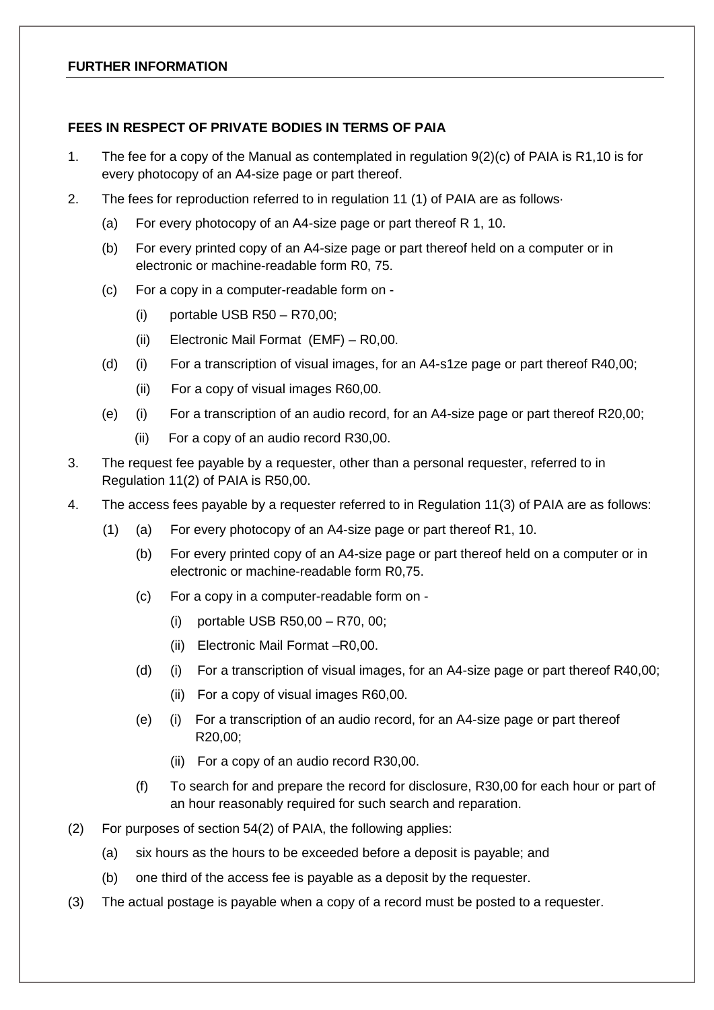#### **FURTHER INFORMATION**

#### **FEES IN RESPECT OF PRIVATE BODIES IN TERMS OF PAIA**

- 1. The fee for a copy of the Manual as contemplated in regulation 9(2)(c) of PAIA is R1,10 is for every photocopy of an A4-size page or part thereof.
- 2. The fees for reproduction referred to in regulation 11 (1) of PAIA are as follows·
	- (a) For every photocopy of an A4-size page or part thereof R 1, 10.
	- (b) For every printed copy of an A4-size page or part thereof held on a computer or in electronic or machine-readable form R0, 75.
	- (c) For a copy in a computer-readable form on
		- (i) portable USB R50 R70,00;
		- (ii) Electronic Mail Format (EMF) R0,00.
	- (d) (i) For a transcription of visual images, for an A4-s1ze page or part thereof R40,00;
		- (ii) For a copy of visual images R60,00.
	- (e) (i) For a transcription of an audio record, for an A4-size page or part thereof R20,00;
		- (ii) For a copy of an audio record R30,00.
- 3. The request fee payable by a requester, other than a personal requester, referred to in Regulation 11(2) of PAIA is R50,00.
- 4. The access fees payable by a requester referred to in Regulation 11(3) of PAIA are as follows:
	- (1) (a) For every photocopy of an A4-size page or part thereof R1, 10.
		- (b) For every printed copy of an A4-size page or part thereof held on a computer or in electronic or machine-readable form R0,75.
		- (c) For a copy in a computer-readable form on
			- (i) portable USB R50,00 R70, 00;
			- (ii) Electronic Mail Format –R0,00.
		- (d) (i) For a transcription of visual images, for an A4-size page or part thereof R40,00;
			- (ii) For a copy of visual images R60,00.
		- (e) (i) For a transcription of an audio record, for an A4-size page or part thereof R20,00;
			- (ii) For a copy of an audio record R30,00.
		- (f) To search for and prepare the record for disclosure, R30,00 for each hour or part of an hour reasonably required for such search and reparation.
- (2) For purposes of section 54(2) of PAIA, the following applies:
	- (a) six hours as the hours to be exceeded before a deposit is payable; and
	- (b) one third of the access fee is payable as a deposit by the requester.
- (3) The actual postage is payable when a copy of a record must be posted to a requester.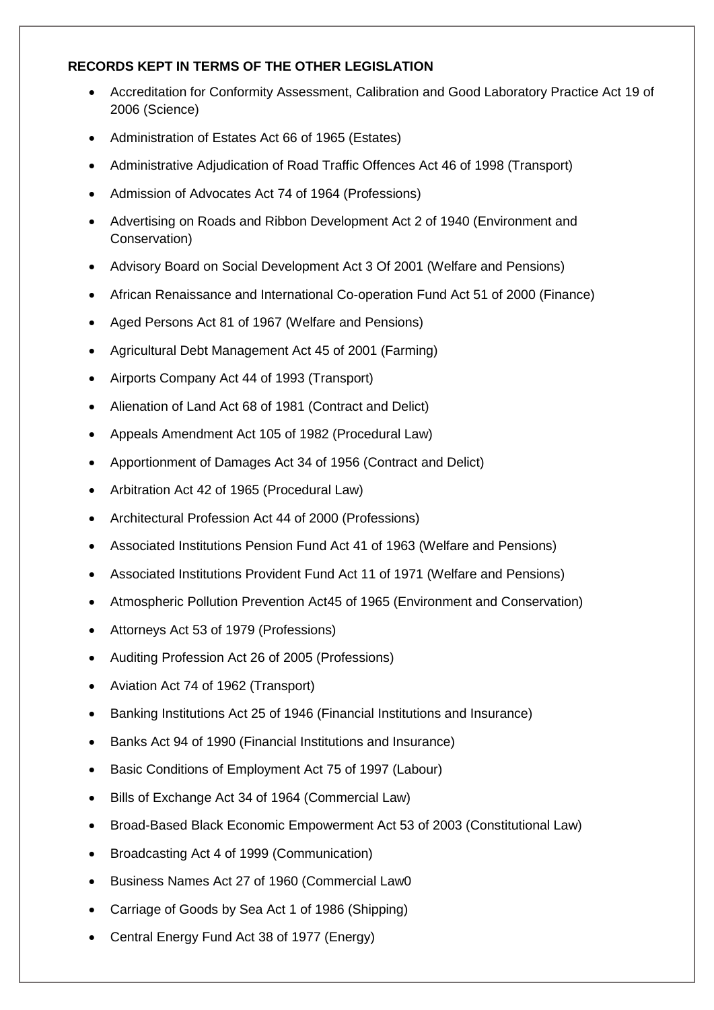## **RECORDS KEPT IN TERMS OF THE OTHER LEGISLATION**

- Accreditation for Conformity Assessment, Calibration and Good Laboratory Practice Act 19 of 2006 (Science)
- Administration of Estates Act 66 of 1965 (Estates)
- Administrative Adjudication of Road Traffic Offences Act 46 of 1998 (Transport)
- Admission of Advocates Act 74 of 1964 (Professions)
- Advertising on Roads and Ribbon Development Act 2 of 1940 (Environment and Conservation)
- Advisory Board on Social Development Act 3 Of 2001 (Welfare and Pensions)
- African Renaissance and International Co-operation Fund Act 51 of 2000 (Finance)
- Aged Persons Act 81 of 1967 (Welfare and Pensions)
- Agricultural Debt Management Act 45 of 2001 (Farming)
- Airports Company Act 44 of 1993 (Transport)
- Alienation of Land Act 68 of 1981 (Contract and Delict)
- Appeals Amendment Act 105 of 1982 (Procedural Law)
- Apportionment of Damages Act 34 of 1956 (Contract and Delict)
- Arbitration Act 42 of 1965 (Procedural Law)
- Architectural Profession Act 44 of 2000 (Professions)
- Associated Institutions Pension Fund Act 41 of 1963 (Welfare and Pensions)
- Associated Institutions Provident Fund Act 11 of 1971 (Welfare and Pensions)
- Atmospheric Pollution Prevention Act45 of 1965 (Environment and Conservation)
- Attorneys Act 53 of 1979 (Professions)
- Auditing Profession Act 26 of 2005 (Professions)
- Aviation Act 74 of 1962 (Transport)
- Banking Institutions Act 25 of 1946 (Financial Institutions and Insurance)
- Banks Act 94 of 1990 (Financial Institutions and Insurance)
- Basic Conditions of Employment Act 75 of 1997 (Labour)
- Bills of Exchange Act 34 of 1964 (Commercial Law)
- Broad-Based Black Economic Empowerment Act 53 of 2003 (Constitutional Law)
- Broadcasting Act 4 of 1999 (Communication)
- Business Names Act 27 of 1960 (Commercial Law0
- Carriage of Goods by Sea Act 1 of 1986 (Shipping)
- Central Energy Fund Act 38 of 1977 (Energy)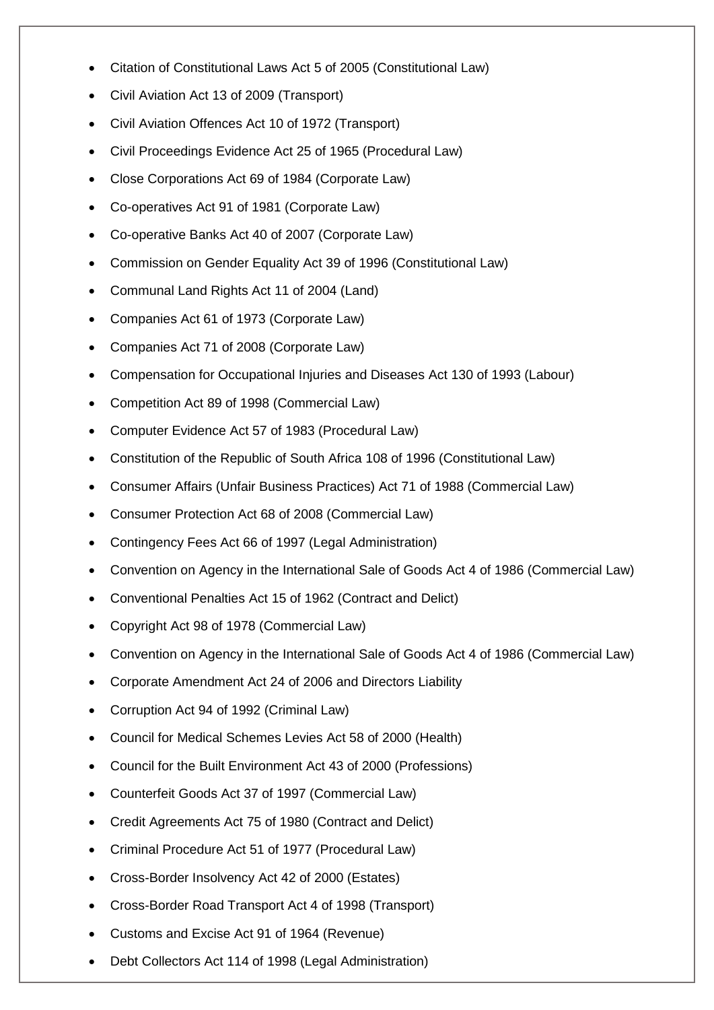- Citation of Constitutional Laws Act 5 of 2005 (Constitutional Law)
- Civil Aviation Act 13 of 2009 (Transport)
- Civil Aviation Offences Act 10 of 1972 (Transport)
- Civil Proceedings Evidence Act 25 of 1965 (Procedural Law)
- Close Corporations Act 69 of 1984 (Corporate Law)
- Co-operatives Act 91 of 1981 (Corporate Law)
- Co-operative Banks Act 40 of 2007 (Corporate Law)
- Commission on Gender Equality Act 39 of 1996 (Constitutional Law)
- Communal Land Rights Act 11 of 2004 (Land)
- Companies Act 61 of 1973 (Corporate Law)
- Companies Act 71 of 2008 (Corporate Law)
- Compensation for Occupational Injuries and Diseases Act 130 of 1993 (Labour)
- Competition Act 89 of 1998 (Commercial Law)
- Computer Evidence Act 57 of 1983 (Procedural Law)
- Constitution of the Republic of South Africa 108 of 1996 (Constitutional Law)
- Consumer Affairs (Unfair Business Practices) Act 71 of 1988 (Commercial Law)
- Consumer Protection Act 68 of 2008 (Commercial Law)
- Contingency Fees Act 66 of 1997 (Legal Administration)
- Convention on Agency in the International Sale of Goods Act 4 of 1986 (Commercial Law)
- Conventional Penalties Act 15 of 1962 (Contract and Delict)
- Copyright Act 98 of 1978 (Commercial Law)
- Convention on Agency in the International Sale of Goods Act 4 of 1986 (Commercial Law)
- Corporate Amendment Act 24 of 2006 and Directors Liability
- Corruption Act 94 of 1992 (Criminal Law)
- Council for Medical Schemes Levies Act 58 of 2000 (Health)
- Council for the Built Environment Act 43 of 2000 (Professions)
- Counterfeit Goods Act 37 of 1997 (Commercial Law)
- Credit Agreements Act 75 of 1980 (Contract and Delict)
- Criminal Procedure Act 51 of 1977 (Procedural Law)
- Cross-Border Insolvency Act 42 of 2000 (Estates)
- Cross-Border Road Transport Act 4 of 1998 (Transport)
- Customs and Excise Act 91 of 1964 (Revenue)
- Debt Collectors Act 114 of 1998 (Legal Administration)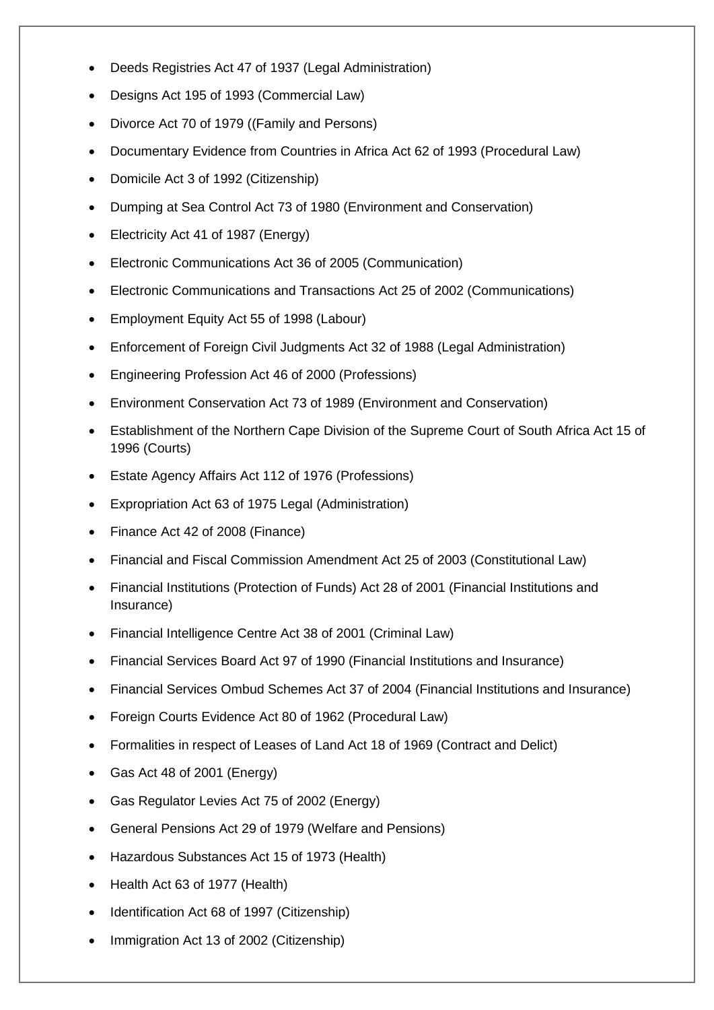- Deeds Registries Act 47 of 1937 (Legal Administration)
- Designs Act 195 of 1993 (Commercial Law)
- Divorce Act 70 of 1979 ((Family and Persons)
- Documentary Evidence from Countries in Africa Act 62 of 1993 (Procedural Law)
- Domicile Act 3 of 1992 (Citizenship)
- Dumping at Sea Control Act 73 of 1980 (Environment and Conservation)
- Electricity Act 41 of 1987 (Energy)
- Electronic Communications Act 36 of 2005 (Communication)
- Electronic Communications and Transactions Act 25 of 2002 (Communications)
- Employment Equity Act 55 of 1998 (Labour)
- Enforcement of Foreign Civil Judgments Act 32 of 1988 (Legal Administration)
- Engineering Profession Act 46 of 2000 (Professions)
- Environment Conservation Act 73 of 1989 (Environment and Conservation)
- Establishment of the Northern Cape Division of the Supreme Court of South Africa Act 15 of 1996 (Courts)
- Estate Agency Affairs Act 112 of 1976 (Professions)
- Expropriation Act 63 of 1975 Legal (Administration)
- Finance Act 42 of 2008 (Finance)
- Financial and Fiscal Commission Amendment Act 25 of 2003 (Constitutional Law)
- Financial Institutions (Protection of Funds) Act 28 of 2001 (Financial Institutions and Insurance)
- Financial Intelligence Centre Act 38 of 2001 (Criminal Law)
- Financial Services Board Act 97 of 1990 (Financial Institutions and Insurance)
- Financial Services Ombud Schemes Act 37 of 2004 (Financial Institutions and Insurance)
- Foreign Courts Evidence Act 80 of 1962 (Procedural Law)
- Formalities in respect of Leases of Land Act 18 of 1969 (Contract and Delict)
- Gas Act 48 of 2001 (Energy)
- Gas Regulator Levies Act 75 of 2002 (Energy)
- General Pensions Act 29 of 1979 (Welfare and Pensions)
- Hazardous Substances Act 15 of 1973 (Health)
- Health Act 63 of 1977 (Health)
- Identification Act 68 of 1997 (Citizenship)
- Immigration Act 13 of 2002 (Citizenship)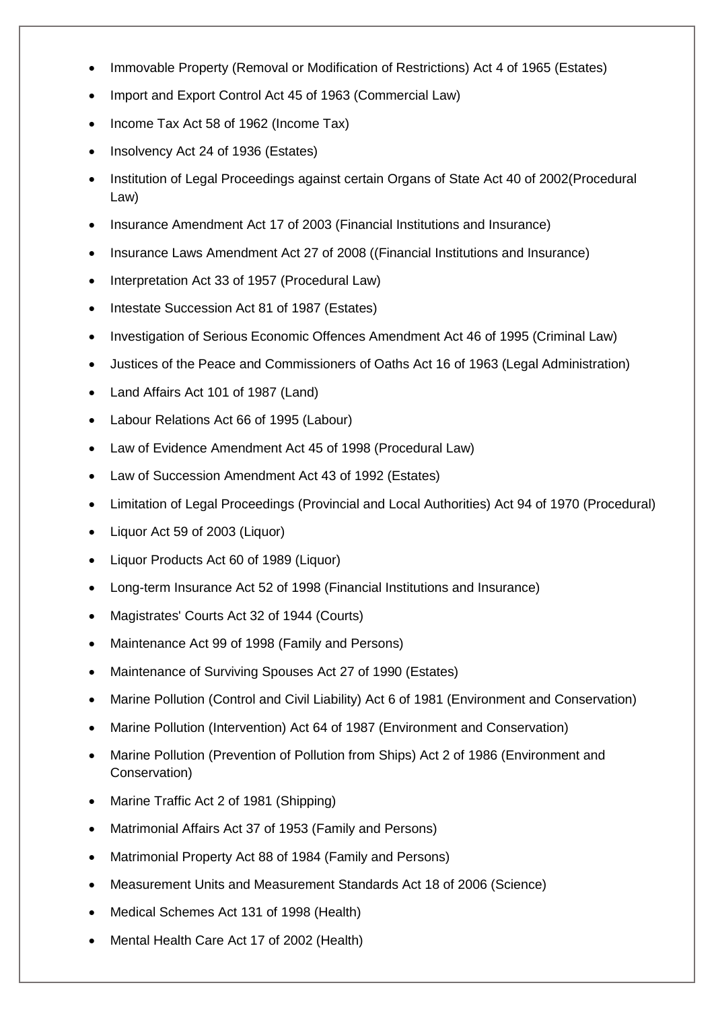- Immovable Property (Removal or Modification of Restrictions) Act 4 of 1965 (Estates)
- Import and Export Control Act 45 of 1963 (Commercial Law)
- Income Tax Act 58 of 1962 (Income Tax)
- Insolvency Act 24 of 1936 (Estates)
- Institution of Legal Proceedings against certain Organs of State Act 40 of 2002(Procedural Law)
- Insurance Amendment Act 17 of 2003 (Financial Institutions and Insurance)
- Insurance Laws Amendment Act 27 of 2008 ((Financial Institutions and Insurance)
- Interpretation Act 33 of 1957 (Procedural Law)
- Intestate Succession Act 81 of 1987 (Estates)
- Investigation of Serious Economic Offences Amendment Act 46 of 1995 (Criminal Law)
- Justices of the Peace and Commissioners of Oaths Act 16 of 1963 (Legal Administration)
- Land Affairs Act 101 of 1987 (Land)
- Labour Relations Act 66 of 1995 (Labour)
- Law of Evidence Amendment Act 45 of 1998 (Procedural Law)
- Law of Succession Amendment Act 43 of 1992 (Estates)
- Limitation of Legal Proceedings (Provincial and Local Authorities) Act 94 of 1970 (Procedural)
- Liquor Act 59 of 2003 (Liquor)
- Liquor Products Act 60 of 1989 (Liquor)
- Long-term Insurance Act 52 of 1998 (Financial Institutions and Insurance)
- Magistrates' Courts Act 32 of 1944 (Courts)
- Maintenance Act 99 of 1998 (Family and Persons)
- Maintenance of Surviving Spouses Act 27 of 1990 (Estates)
- Marine Pollution (Control and Civil Liability) Act 6 of 1981 (Environment and Conservation)
- Marine Pollution (Intervention) Act 64 of 1987 (Environment and Conservation)
- Marine Pollution (Prevention of Pollution from Ships) Act 2 of 1986 (Environment and Conservation)
- Marine Traffic Act 2 of 1981 (Shipping)
- Matrimonial Affairs Act 37 of 1953 (Family and Persons)
- Matrimonial Property Act 88 of 1984 (Family and Persons)
- Measurement Units and Measurement Standards Act 18 of 2006 (Science)
- Medical Schemes Act 131 of 1998 (Health)
- Mental Health Care Act 17 of 2002 (Health)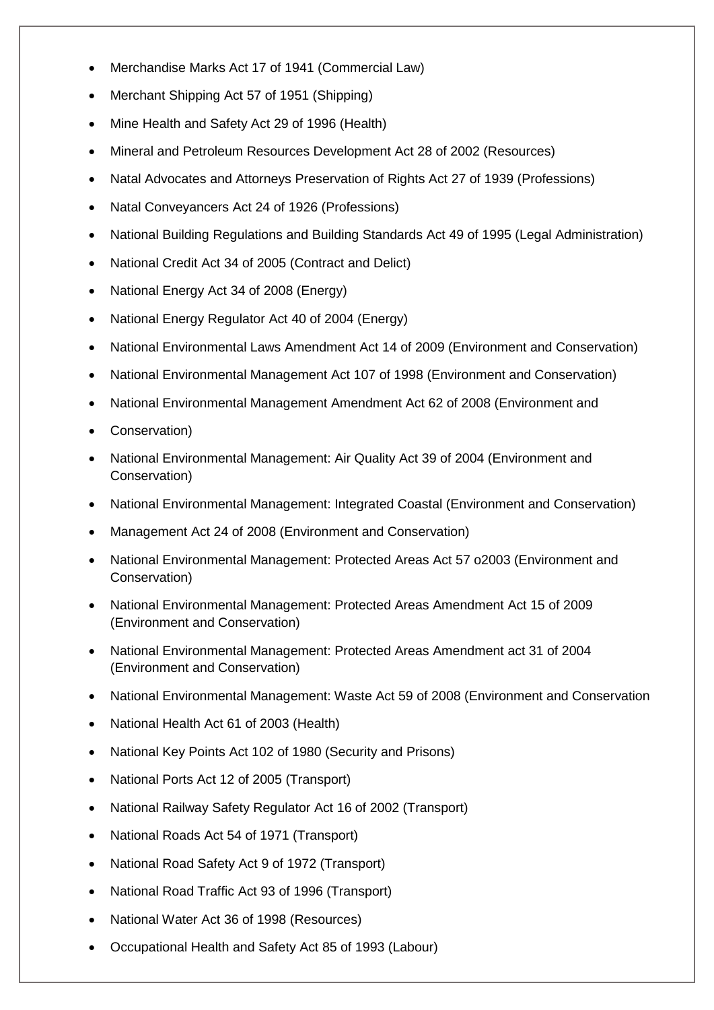- Merchandise Marks Act 17 of 1941 (Commercial Law)
- Merchant Shipping Act 57 of 1951 (Shipping)
- Mine Health and Safety Act 29 of 1996 (Health)
- Mineral and Petroleum Resources Development Act 28 of 2002 (Resources)
- Natal Advocates and Attorneys Preservation of Rights Act 27 of 1939 (Professions)
- Natal Conveyancers Act 24 of 1926 (Professions)
- National Building Regulations and Building Standards Act 49 of 1995 (Legal Administration)
- National Credit Act 34 of 2005 (Contract and Delict)
- National Energy Act 34 of 2008 (Energy)
- National Energy Regulator Act 40 of 2004 (Energy)
- National Environmental Laws Amendment Act 14 of 2009 (Environment and Conservation)
- National Environmental Management Act 107 of 1998 (Environment and Conservation)
- National Environmental Management Amendment Act 62 of 2008 (Environment and
- Conservation)
- National Environmental Management: Air Quality Act 39 of 2004 (Environment and Conservation)
- National Environmental Management: Integrated Coastal (Environment and Conservation)
- Management Act 24 of 2008 (Environment and Conservation)
- National Environmental Management: Protected Areas Act 57 o2003 (Environment and Conservation)
- National Environmental Management: Protected Areas Amendment Act 15 of 2009 (Environment and Conservation)
- National Environmental Management: Protected Areas Amendment act 31 of 2004 (Environment and Conservation)
- National Environmental Management: Waste Act 59 of 2008 (Environment and Conservation
- National Health Act 61 of 2003 (Health)
- National Key Points Act 102 of 1980 (Security and Prisons)
- National Ports Act 12 of 2005 (Transport)
- National Railway Safety Regulator Act 16 of 2002 (Transport)
- National Roads Act 54 of 1971 (Transport)
- National Road Safety Act 9 of 1972 (Transport)
- National Road Traffic Act 93 of 1996 (Transport)
- National Water Act 36 of 1998 (Resources)
- Occupational Health and Safety Act 85 of 1993 (Labour)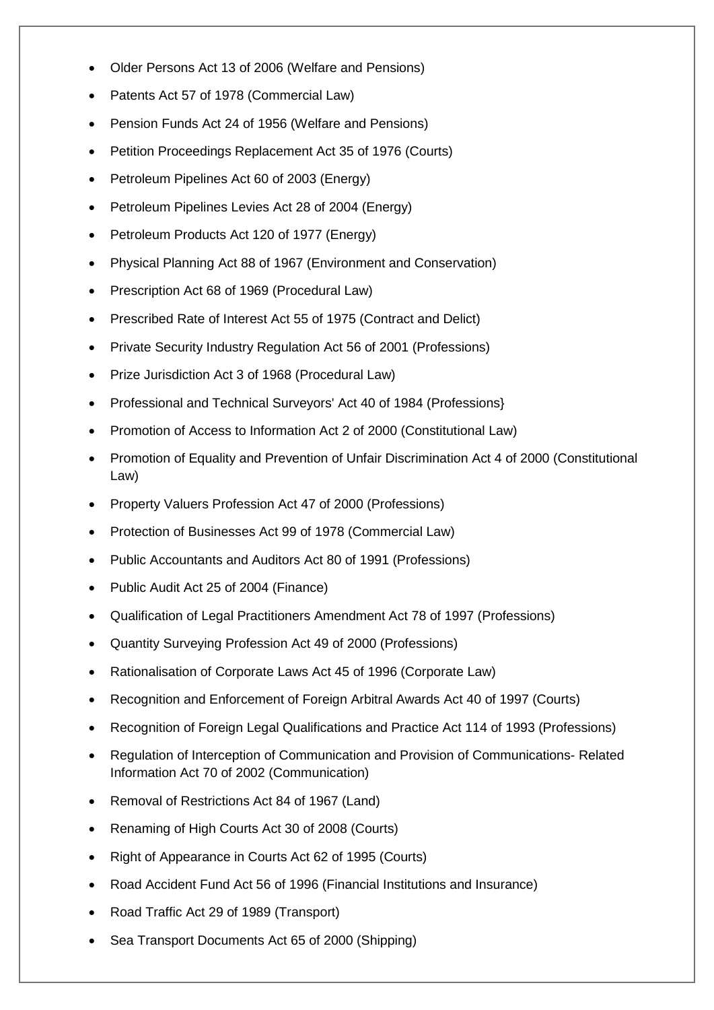- Older Persons Act 13 of 2006 (Welfare and Pensions)
- Patents Act 57 of 1978 (Commercial Law)
- Pension Funds Act 24 of 1956 (Welfare and Pensions)
- Petition Proceedings Replacement Act 35 of 1976 (Courts)
- Petroleum Pipelines Act 60 of 2003 (Energy)
- Petroleum Pipelines Levies Act 28 of 2004 (Energy)
- Petroleum Products Act 120 of 1977 (Energy)
- Physical Planning Act 88 of 1967 (Environment and Conservation)
- Prescription Act 68 of 1969 (Procedural Law)
- Prescribed Rate of Interest Act 55 of 1975 (Contract and Delict)
- Private Security Industry Regulation Act 56 of 2001 (Professions)
- Prize Jurisdiction Act 3 of 1968 (Procedural Law)
- Professional and Technical Surveyors' Act 40 of 1984 (Professions)
- Promotion of Access to Information Act 2 of 2000 (Constitutional Law)
- Promotion of Equality and Prevention of Unfair Discrimination Act 4 of 2000 (Constitutional Law)
- Property Valuers Profession Act 47 of 2000 (Professions)
- Protection of Businesses Act 99 of 1978 (Commercial Law)
- Public Accountants and Auditors Act 80 of 1991 (Professions)
- Public Audit Act 25 of 2004 (Finance)
- Qualification of Legal Practitioners Amendment Act 78 of 1997 (Professions)
- Quantity Surveying Profession Act 49 of 2000 (Professions)
- Rationalisation of Corporate Laws Act 45 of 1996 (Corporate Law)
- Recognition and Enforcement of Foreign Arbitral Awards Act 40 of 1997 (Courts)
- Recognition of Foreign Legal Qualifications and Practice Act 114 of 1993 (Professions)
- Regulation of Interception of Communication and Provision of Communications- Related Information Act 70 of 2002 (Communication)
- Removal of Restrictions Act 84 of 1967 (Land)
- Renaming of High Courts Act 30 of 2008 (Courts)
- Right of Appearance in Courts Act 62 of 1995 (Courts)
- Road Accident Fund Act 56 of 1996 (Financial Institutions and Insurance)
- Road Traffic Act 29 of 1989 (Transport)
- Sea Transport Documents Act 65 of 2000 (Shipping)